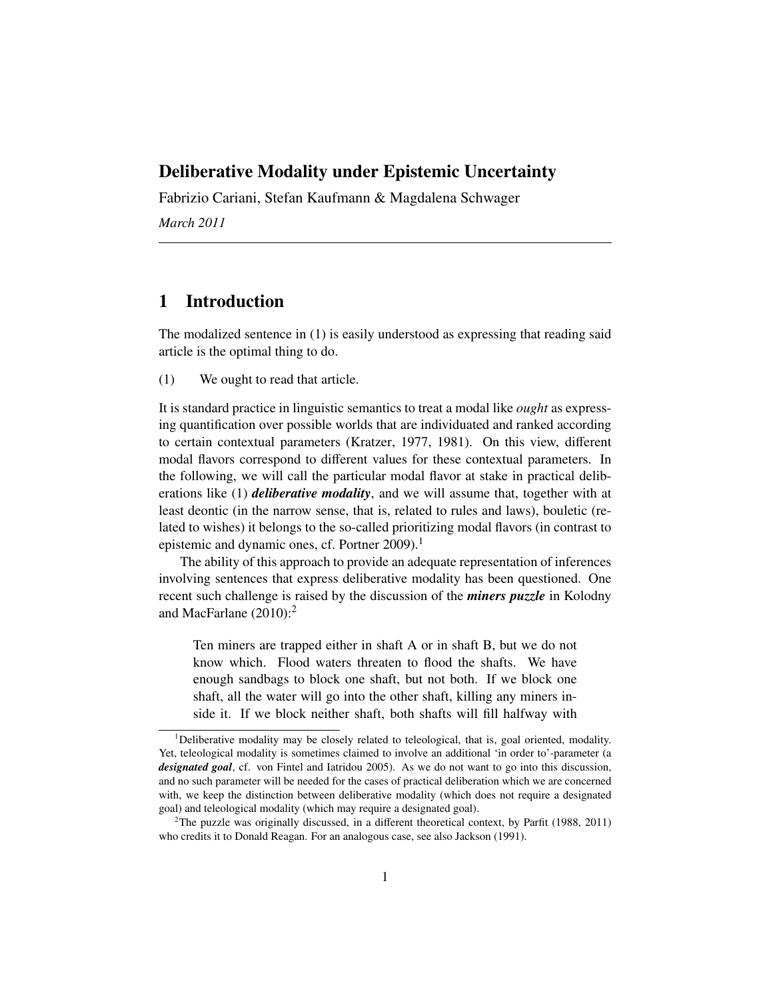# Deliberative Modality under Epistemic Uncertainty

Fabrizio Cariani, Stefan Kaufmann & Magdalena Schwager *March 2011*

# 1 Introduction

The modalized sentence in (1) is easily understood as expressing that reading said article is the optimal thing to do.

(1) We ought to read that article.

It is standard practice in linguistic semantics to treat a modal like *ought* as expressing quantification over possible worlds that are individuated and ranked according to certain contextual parameters (Kratzer, 1977, 1981). On this view, different modal flavors correspond to different values for these contextual parameters. In the following, we will call the particular modal flavor at stake in practical deliberations like (1) *deliberative modality*, and we will assume that, together with at least deontic (in the narrow sense, that is, related to rules and laws), bouletic (related to wishes) it belongs to the so-called prioritizing modal flavors (in contrast to epistemic and dynamic ones, cf. Portner 2009).<sup>1</sup>

The ability of this approach to provide an adequate representation of inferences involving sentences that express deliberative modality has been questioned. One recent such challenge is raised by the discussion of the *miners puzzle* in Kolodny and MacFarlane  $(2010)$ :<sup>2</sup>

Ten miners are trapped either in shaft A or in shaft B, but we do not know which. Flood waters threaten to flood the shafts. We have enough sandbags to block one shaft, but not both. If we block one shaft, all the water will go into the other shaft, killing any miners inside it. If we block neither shaft, both shafts will fill halfway with

<sup>&</sup>lt;sup>1</sup>Deliberative modality may be closely related to teleological, that is, goal oriented, modality. Yet, teleological modality is sometimes claimed to involve an additional 'in order to'-parameter (a *designated goal*, cf. von Fintel and Iatridou 2005). As we do not want to go into this discussion, and no such parameter will be needed for the cases of practical deliberation which we are concerned with, we keep the distinction between deliberative modality (which does not require a designated goal) and teleological modality (which may require a designated goal).

<sup>&</sup>lt;sup>2</sup>The puzzle was originally discussed, in a different theoretical context, by Parfit (1988, 2011) who credits it to Donald Reagan. For an analogous case, see also Jackson (1991).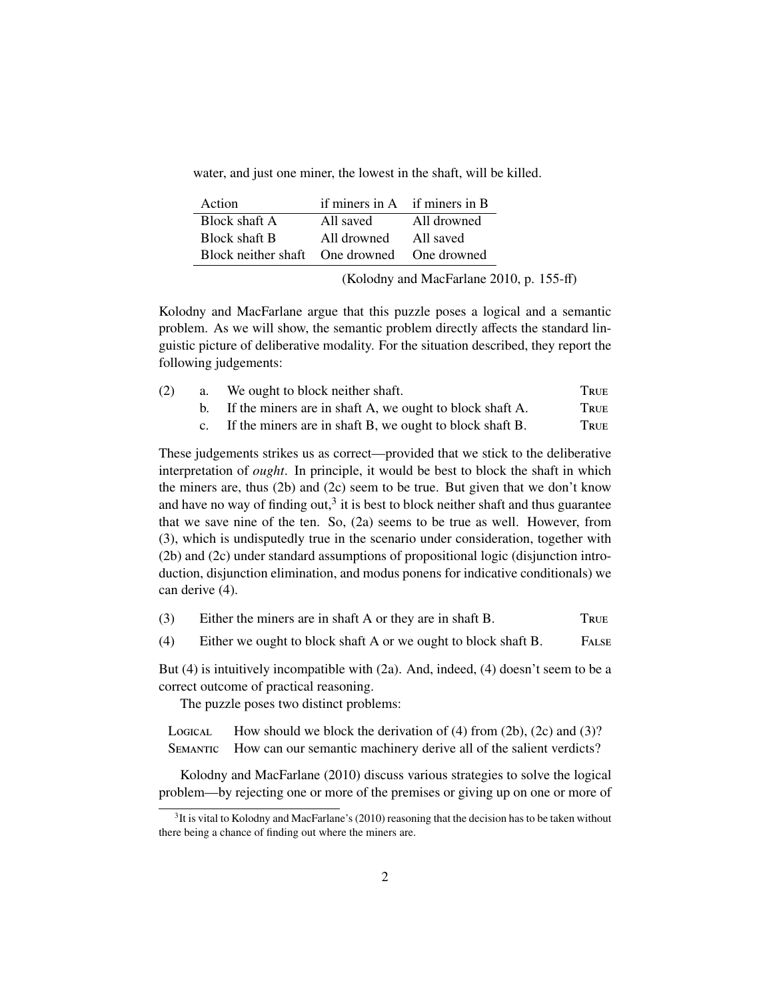water, and just one miner, the lowest in the shaft, will be killed.

| Action                                      | if miners in $A$ if miners in $B$ |             |
|---------------------------------------------|-----------------------------------|-------------|
| Block shaft A                               | All saved                         | All drowned |
| <b>Block shaft B</b>                        | All drowned                       | All saved   |
| Block neither shaft One drowned One drowned |                                   |             |

(Kolodny and MacFarlane 2010, p. 155-ff)

Kolodny and MacFarlane argue that this puzzle poses a logical and a semantic problem. As we will show, the semantic problem directly affects the standard linguistic picture of deliberative modality. For the situation described, they report the following judgements:

| (2) | a. | We ought to block neither shaft.                            | True |
|-----|----|-------------------------------------------------------------|------|
|     |    | b. If the miners are in shaft A, we ought to block shaft A. | True |
|     |    | c. If the miners are in shaft B, we ought to block shaft B. | TRUE |

These judgements strikes us as correct—provided that we stick to the deliberative interpretation of *ought*. In principle, it would be best to block the shaft in which the miners are, thus (2b) and (2c) seem to be true. But given that we don't know and have no way of finding out,<sup>3</sup> it is best to block neither shaft and thus guarantee that we save nine of the ten. So, (2a) seems to be true as well. However, from (3), which is undisputedly true in the scenario under consideration, together with (2b) and (2c) under standard assumptions of propositional logic (disjunction introduction, disjunction elimination, and modus ponens for indicative conditionals) we can derive (4).

| (3) | Either the miners are in shaft A or they are in shaft B. | True |
|-----|----------------------------------------------------------|------|
|     |                                                          |      |

(4) Either we ought to block shaft A or we ought to block shaft B. F

But (4) is intuitively incompatible with (2a). And, indeed, (4) doesn't seem to be a correct outcome of practical reasoning.

The puzzle poses two distinct problems:

LOGICAL How should we block the derivation of (4) from (2b), (2c) and (3)? SEMANTIC How can our semantic machinery derive all of the salient verdicts?

Kolodny and MacFarlane (2010) discuss various strategies to solve the logical problem—by rejecting one or more of the premises or giving up on one or more of

 $3$ It is vital to Kolodny and MacFarlane's (2010) reasoning that the decision has to be taken without there being a chance of finding out where the miners are.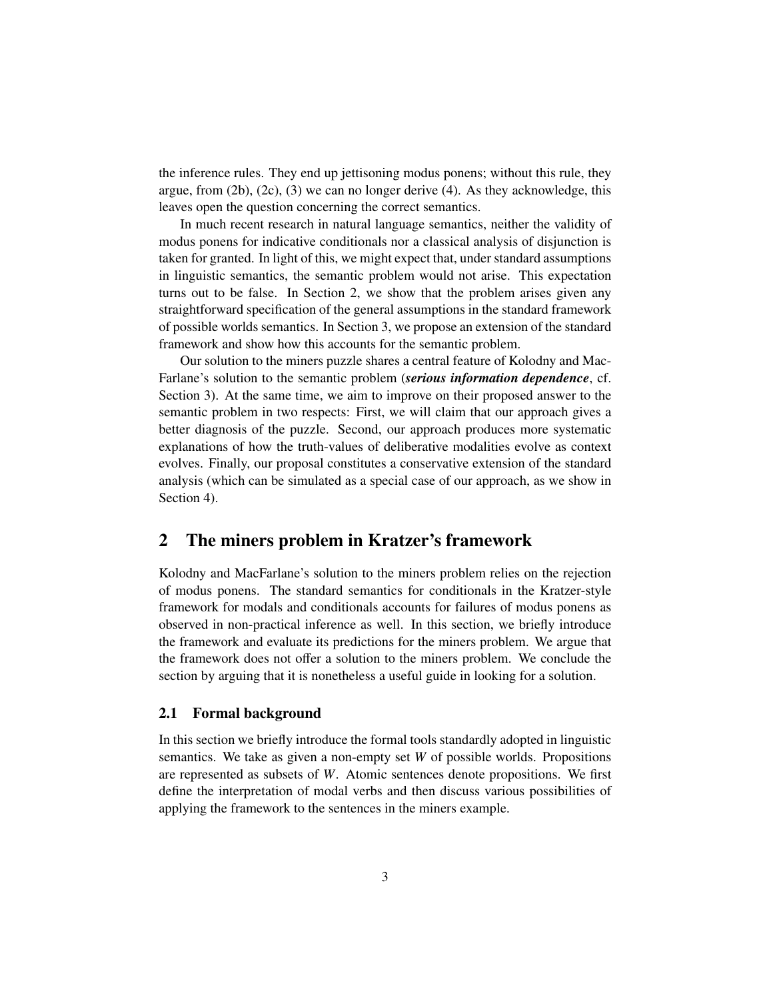the inference rules. They end up jettisoning modus ponens; without this rule, they argue, from  $(2b)$ ,  $(2c)$ ,  $(3)$  we can no longer derive  $(4)$ . As they acknowledge, this leaves open the question concerning the correct semantics.

In much recent research in natural language semantics, neither the validity of modus ponens for indicative conditionals nor a classical analysis of disjunction is taken for granted. In light of this, we might expect that, under standard assumptions in linguistic semantics, the semantic problem would not arise. This expectation turns out to be false. In Section 2, we show that the problem arises given any straightforward specification of the general assumptions in the standard framework of possible worlds semantics. In Section 3, we propose an extension of the standard framework and show how this accounts for the semantic problem.

Our solution to the miners puzzle shares a central feature of Kolodny and Mac-Farlane's solution to the semantic problem (*serious information dependence*, cf. Section 3). At the same time, we aim to improve on their proposed answer to the semantic problem in two respects: First, we will claim that our approach gives a better diagnosis of the puzzle. Second, our approach produces more systematic explanations of how the truth-values of deliberative modalities evolve as context evolves. Finally, our proposal constitutes a conservative extension of the standard analysis (which can be simulated as a special case of our approach, as we show in Section 4).

# 2 The miners problem in Kratzer's framework

Kolodny and MacFarlane's solution to the miners problem relies on the rejection of modus ponens. The standard semantics for conditionals in the Kratzer-style framework for modals and conditionals accounts for failures of modus ponens as observed in non-practical inference as well. In this section, we briefly introduce the framework and evaluate its predictions for the miners problem. We argue that the framework does not offer a solution to the miners problem. We conclude the section by arguing that it is nonetheless a useful guide in looking for a solution.

#### 2.1 Formal background

In this section we briefly introduce the formal tools standardly adopted in linguistic semantics. We take as given a non-empty set *W* of possible worlds. Propositions are represented as subsets of *W*. Atomic sentences denote propositions. We first define the interpretation of modal verbs and then discuss various possibilities of applying the framework to the sentences in the miners example.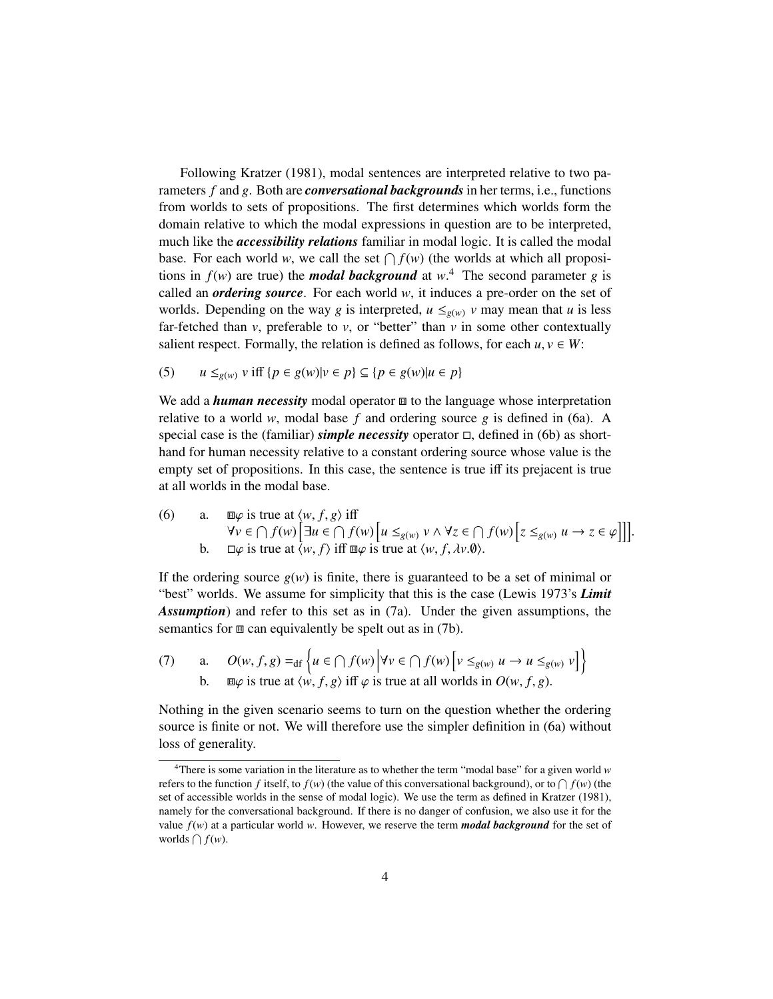Following Kratzer (1981), modal sentences are interpreted relative to two parameters *f* and *g*. Both are *conversational backgrounds*in her terms, i.e., functions from worlds to sets of propositions. The first determines which worlds form the domain relative to which the modal expressions in question are to be interpreted, much like the *accessibility relations* familiar in modal logic. It is called the modal base. For each world *w*, we call the set  $\bigcap f(w)$  (the worlds at which all propositions in  $f(w)$  are true) the *modal background* at  $w^4$ . The second parameter *g* is called an *ordering source*. For each world *w*, it induces a pre-order on the set of worlds. Depending on the way *g* is interpreted,  $u \leq_{g(w)} v$  may mean that *u* is less far-fetched than  $v$ , preferable to  $v$ , or "better" than  $v$  in some other contextually salient respect. Formally, the relation is defined as follows, for each  $u, v \in W$ :

(5) 
$$
u \leq_{g(w)} v \text{ iff } \{p \in g(w)|v \in p\} \subseteq \{p \in g(w)|u \in p\}
$$

We add a *human necessity* modal operator  $\mathbf{E}$  to the language whose interpretation relative to a world *w*, modal base *f* and ordering source *g* is defined in (6a). A special case is the (familiar) *simple necessity* operator  $\Box$ , defined in (6b) as shorthand for human necessity relative to a constant ordering source whose value is the empty set of propositions. In this case, the sentence is true iff its prejacent is true at all worlds in the modal base.

(6) a.  $\Box \varphi$  is true at  $\langle w, f, g \rangle$  iff<br>  $\forall v \in \bigcap f(w)$   $\big[\exists u \in \bigcap f(w) \big[u \leq_{g(w)} v \land \forall z \in \bigcap f(w) \big[z \leq_{g(w)} u \to z \in \varphi\big]\big]\big]$ .<br>
b.  $\Box \varphi$  is true at  $\langle w, f \rangle$  iff  $\Box \varphi$  is true at  $\langle w, f, \psi \varphi \rangle$ . b.  $\Box \varphi$  is true at  $\langle w, f \rangle$  iff  $\Box \varphi$  is true at  $\langle w, f, \lambda v. \varnothing \rangle$ .

If the ordering source  $g(w)$  is finite, there is guaranteed to be a set of minimal or "best" worlds. We assume for simplicity that this is the case (Lewis 1973's *Limit Assumption*) and refer to this set as in (7a). Under the given assumptions, the semantics for  $\mathbf{m}$  can equivalently be spelt out as in (7b).

(7) a. 
$$
O(w, f, g) =_{df} \left\{ u \in \bigcap f(w) \middle| \forall v \in \bigcap f(w) \left[ v \leq_{g(w)} u \to u \leq_{g(w)} v \right] \right\}
$$
  
b.  $\text{m}\varphi$  is true at  $\langle w, f, g \rangle$  iff  $\varphi$  is true at all worlds in  $O(w, f, g)$ .

Nothing in the given scenario seems to turn on the question whether the ordering source is finite or not. We will therefore use the simpler definition in (6a) without loss of generality.

<sup>4</sup>There is some variation in the literature as to whether the term "modal base" for a given world *w* refers to the function *f* itself, to  $f(w)$  (the value of this conversational background), or to  $\bigcap f(w)$  (the set of accessible worlds in the sense of modal logic). We use the term as defined in Kratzer (1981), namely for the conversational background. If there is no danger of confusion, we also use it for the value  $f(w)$  at a particular world *w*. However, we reserve the term **modal background** for the set of worlds  $\bigcap f(w)$ .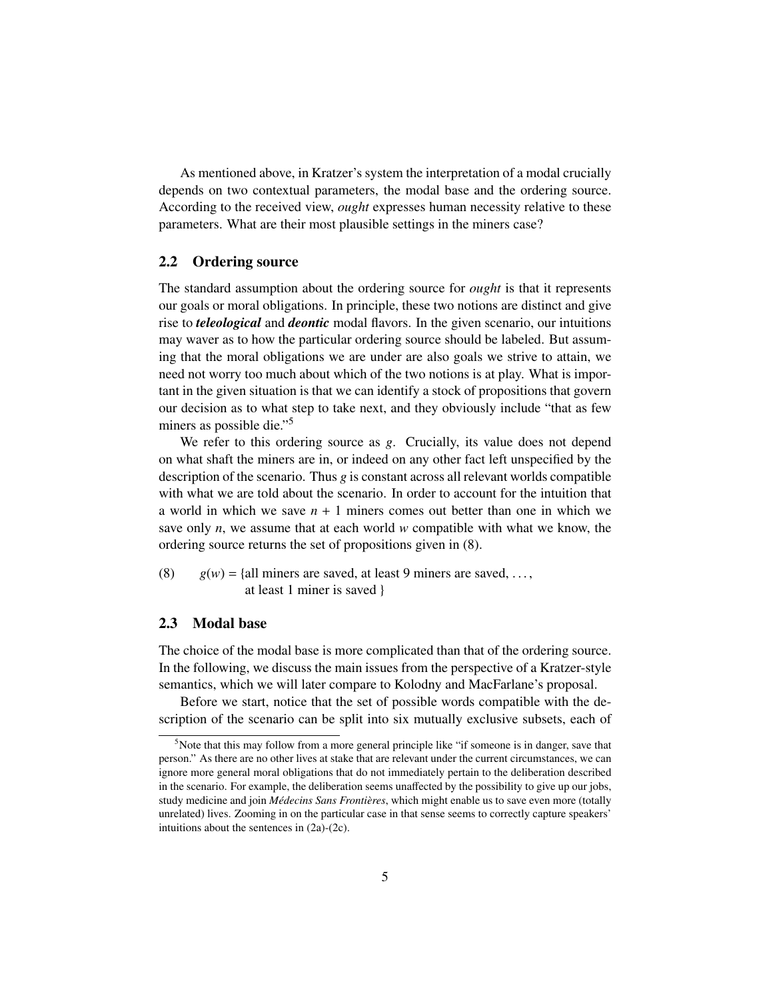As mentioned above, in Kratzer's system the interpretation of a modal crucially depends on two contextual parameters, the modal base and the ordering source. According to the received view, *ought* expresses human necessity relative to these parameters. What are their most plausible settings in the miners case?

## 2.2 Ordering source

The standard assumption about the ordering source for *ought* is that it represents our goals or moral obligations. In principle, these two notions are distinct and give rise to *teleological* and *deontic* modal flavors. In the given scenario, our intuitions may waver as to how the particular ordering source should be labeled. But assuming that the moral obligations we are under are also goals we strive to attain, we need not worry too much about which of the two notions is at play. What is important in the given situation is that we can identify a stock of propositions that govern our decision as to what step to take next, and they obviously include "that as few miners as possible die."<sup>5</sup>

We refer to this ordering source as *g*. Crucially, its value does not depend on what shaft the miners are in, or indeed on any other fact left unspecified by the description of the scenario. Thus  $g$  is constant across all relevant worlds compatible with what we are told about the scenario. In order to account for the intuition that a world in which we save *n* + 1 miners comes out better than one in which we save only *n*, we assume that at each world *w* compatible with what we know, the ordering source returns the set of propositions given in (8).

(8)  $g(w) = \{all \text{ minors are saved, at least 9 miners are saved, ...,} \}$ at least 1 miner is saved }

## 2.3 Modal base

The choice of the modal base is more complicated than that of the ordering source. In the following, we discuss the main issues from the perspective of a Kratzer-style semantics, which we will later compare to Kolodny and MacFarlane's proposal.

Before we start, notice that the set of possible words compatible with the description of the scenario can be split into six mutually exclusive subsets, each of

<sup>&</sup>lt;sup>5</sup>Note that this may follow from a more general principle like "if someone is in danger, save that person." As there are no other lives at stake that are relevant under the current circumstances, we can ignore more general moral obligations that do not immediately pertain to the deliberation described in the scenario. For example, the deliberation seems unaffected by the possibility to give up our jobs, study medicine and join *Médecins Sans Frontières*, which might enable us to save even more (totally unrelated) lives. Zooming in on the particular case in that sense seems to correctly capture speakers' intuitions about the sentences in (2a)-(2c).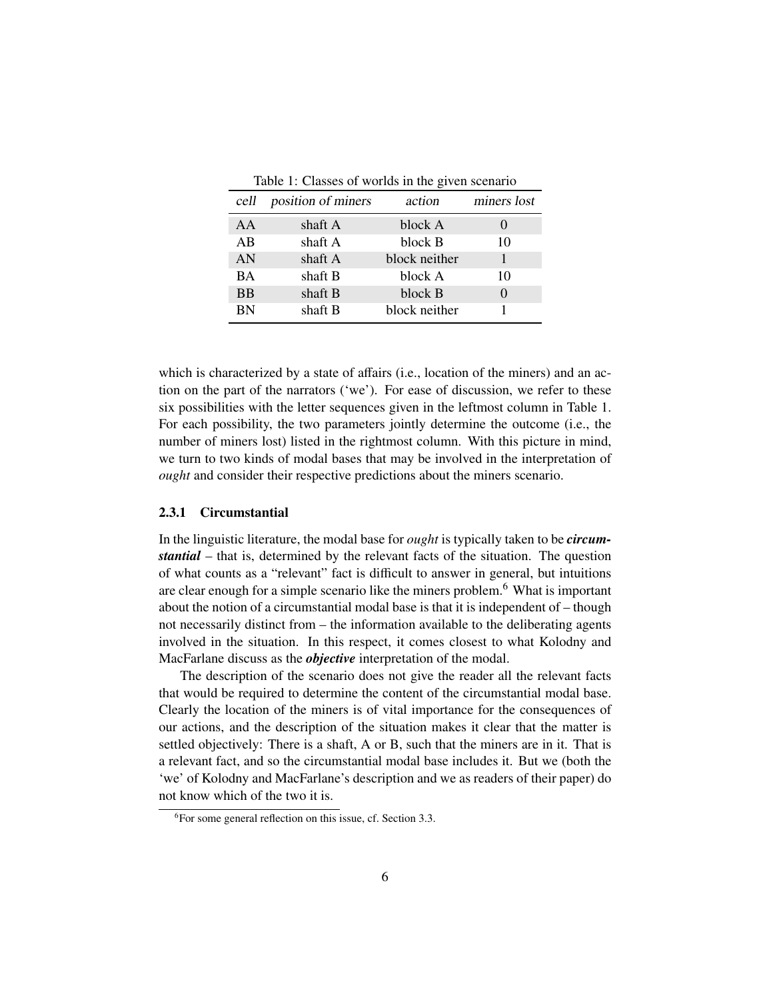| Table 1: Classes of worlds in the given scenario |  |  |  |
|--------------------------------------------------|--|--|--|
|--------------------------------------------------|--|--|--|

| cell      | position of miners | action        | miners lost |
|-----------|--------------------|---------------|-------------|
| AA        | shaft A            | block A       |             |
| AB        | shaft A            | block B       | 10          |
| AN        | shaft A            | block neither |             |
| BA        | shaft B            | block A       | 10          |
| <b>BB</b> | shaft B            | block B       |             |
| <b>BN</b> | shaft B            | block neither |             |

which is characterized by a state of affairs (i.e., location of the miners) and an action on the part of the narrators ('we'). For ease of discussion, we refer to these six possibilities with the letter sequences given in the leftmost column in Table 1. For each possibility, the two parameters jointly determine the outcome (i.e., the number of miners lost) listed in the rightmost column. With this picture in mind, we turn to two kinds of modal bases that may be involved in the interpretation of *ought* and consider their respective predictions about the miners scenario.

#### 2.3.1 Circumstantial

In the linguistic literature, the modal base for *ought* is typically taken to be *circumstantial* – that is, determined by the relevant facts of the situation. The question of what counts as a "relevant" fact is difficult to answer in general, but intuitions are clear enough for a simple scenario like the miners problem.<sup>6</sup> What is important about the notion of a circumstantial modal base is that it is independent of – though not necessarily distinct from – the information available to the deliberating agents involved in the situation. In this respect, it comes closest to what Kolodny and MacFarlane discuss as the *objective* interpretation of the modal.

The description of the scenario does not give the reader all the relevant facts that would be required to determine the content of the circumstantial modal base. Clearly the location of the miners is of vital importance for the consequences of our actions, and the description of the situation makes it clear that the matter is settled objectively: There is a shaft, A or B, such that the miners are in it. That is a relevant fact, and so the circumstantial modal base includes it. But we (both the 'we' of Kolodny and MacFarlane's description and we as readers of their paper) do not know which of the two it is.

 ${}^{6}$ For some general reflection on this issue, cf. Section 3.3.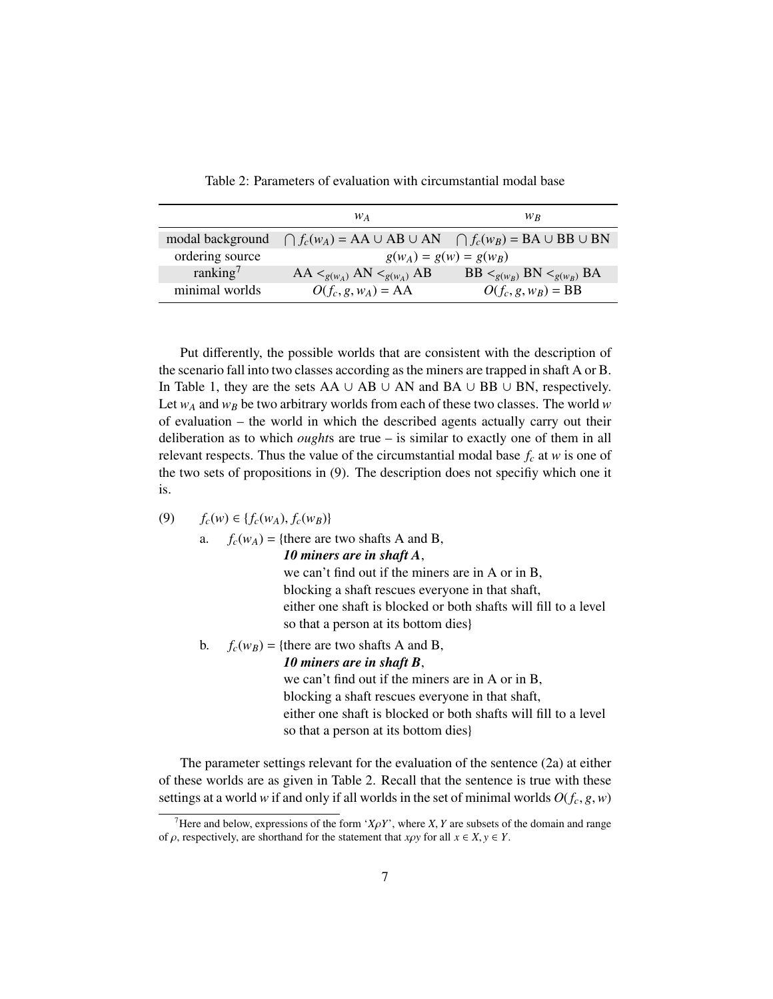|                      | W A                                                                                 | W <sub>R</sub>                   |
|----------------------|-------------------------------------------------------------------------------------|----------------------------------|
| modal background     | $\bigcap f_c(w_A) = AA \cup AB \cup AN \quad \bigcap f_c(w_B) = BA \cup BB \cup BN$ |                                  |
| ordering source      | $g(w_A) = g(w) = g(w_B)$                                                            |                                  |
| ranking <sup>7</sup> | $AA <_{g(w_A)} AN <_{g(w_A)} AB$                                                    | $BB <_{g(w_B)} BN <_{g(w_B)} BA$ |
| minimal worlds       | $O(f_c, g, w_A) = AA$                                                               | $O(f_c, g, w_B) = BB$            |
|                      |                                                                                     |                                  |

Table 2: Parameters of evaluation with circumstantial modal base

Put differently, the possible worlds that are consistent with the description of the scenario fall into two classes according as the miners are trapped in shaft A or B. In Table 1, they are the sets AA ∪ AB ∪ AN and BA ∪ BB ∪ BN, respectively. Let  $w_A$  and  $w_B$  be two arbitrary worlds from each of these two classes. The world  $w$ of evaluation – the world in which the described agents actually carry out their deliberation as to which *ought*s are true – is similar to exactly one of them in all relevant respects. Thus the value of the circumstantial modal base  $f_c$  at *w* is one of the two sets of propositions in (9). The description does not specifiy which one it is.

(9)  $f_c(w) \in \{f_c(w_A), f_c(w_B)\}\$ 

a. 
$$
f_c(w_A) = \{ \text{there are two shafts A and B,}
$$

*10 miners are in shaft A*,

we can't find out if the miners are in A or in B, blocking a shaft rescues everyone in that shaft, either one shaft is blocked or both shafts will fill to a level so that a person at its bottom dies}

b.  $f_c(w_B) = \{$ there are two shafts A and B, *10 miners are in shaft B*, we can't find out if the miners are in A or in B, blocking a shaft rescues everyone in that shaft, either one shaft is blocked or both shafts will fill to a level so that a person at its bottom dies}

The parameter settings relevant for the evaluation of the sentence (2a) at either of these worlds are as given in Table 2. Recall that the sentence is true with these settings at a world *w* if and only if all worlds in the set of minimal worlds  $O(f_c, g, w)$ 

<sup>&</sup>lt;sup>7</sup>Here and below, expressions of the form ' $X\rho Y$ ', where *X*, *Y* are subsets of the domain and range of  $\rho$ , respectively, are shorthand for the statement that *x* $\rho$ *y* for all  $x \in X, y \in Y$ .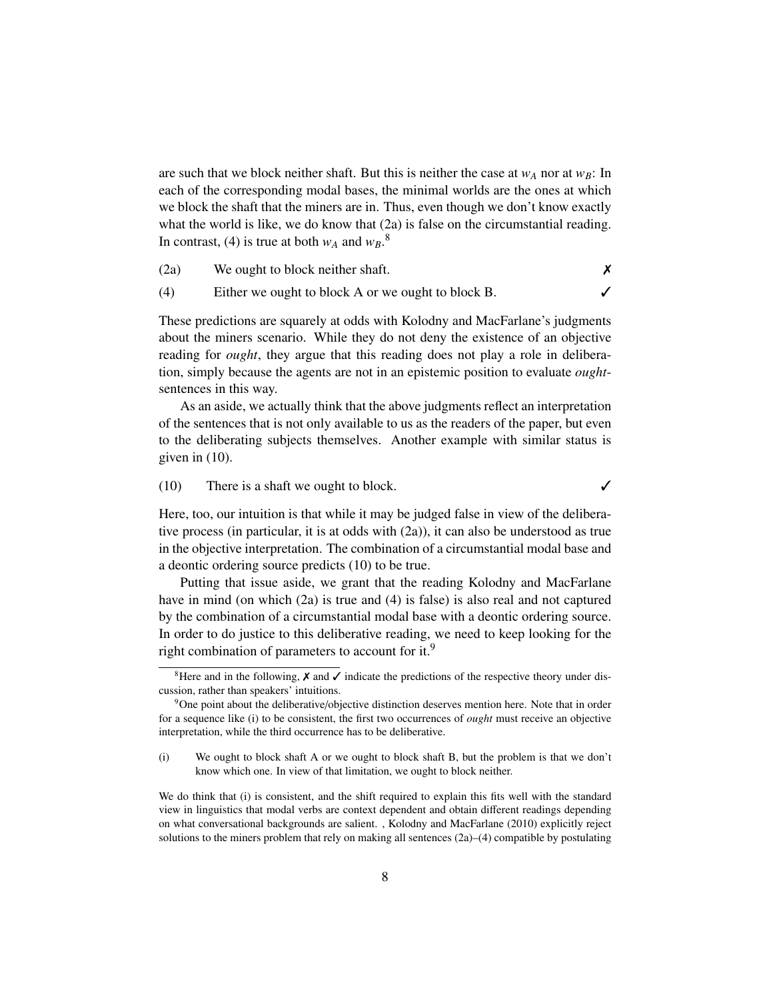are such that we block neither shaft. But this is neither the case at  $w_A$  nor at  $w_B$ : In each of the corresponding modal bases, the minimal worlds are the ones at which we block the shaft that the miners are in. Thus, even though we don't know exactly what the world is like, we do know that  $(2a)$  is false on the circumstantial reading. In contrast, (4) is true at both  $w_A$  and  $w_B$ .<sup>8</sup>

(2a) We ought to block neither shaft.  $\times$ 

(4) Either we ought to block A or we ought to block B.  $\checkmark$ 

These predictions are squarely at odds with Kolodny and MacFarlane's judgments about the miners scenario. While they do not deny the existence of an objective reading for *ought*, they argue that this reading does not play a role in deliberation, simply because the agents are not in an epistemic position to evaluate *ought*sentences in this way.

As an aside, we actually think that the above judgments reflect an interpretation of the sentences that is not only available to us as the readers of the paper, but even to the deliberating subjects themselves. Another example with similar status is given in (10).

(10) There is a shaft we ought to block.  $\checkmark$ 

Here, too, our intuition is that while it may be judged false in view of the deliberative process (in particular, it is at odds with (2a)), it can also be understood as true in the objective interpretation. The combination of a circumstantial modal base and a deontic ordering source predicts (10) to be true.

Putting that issue aside, we grant that the reading Kolodny and MacFarlane have in mind (on which (2a) is true and (4) is false) is also real and not captured by the combination of a circumstantial modal base with a deontic ordering source. In order to do justice to this deliberative reading, we need to keep looking for the right combination of parameters to account for it.<sup>9</sup>

<sup>8</sup>Here and in the following,  $\chi$  and  $\chi$  indicate the predictions of the respective theory under discussion, rather than speakers' intuitions.

<sup>&</sup>lt;sup>9</sup>One point about the deliberative/objective distinction deserves mention here. Note that in order for a sequence like (i) to be consistent, the first two occurrences of *ought* must receive an objective interpretation, while the third occurrence has to be deliberative.

<sup>(</sup>i) We ought to block shaft A or we ought to block shaft B, but the problem is that we don't know which one. In view of that limitation, we ought to block neither.

We do think that (i) is consistent, and the shift required to explain this fits well with the standard view in linguistics that modal verbs are context dependent and obtain different readings depending on what conversational backgrounds are salient. , Kolodny and MacFarlane (2010) explicitly reject solutions to the miners problem that rely on making all sentences (2a)–(4) compatible by postulating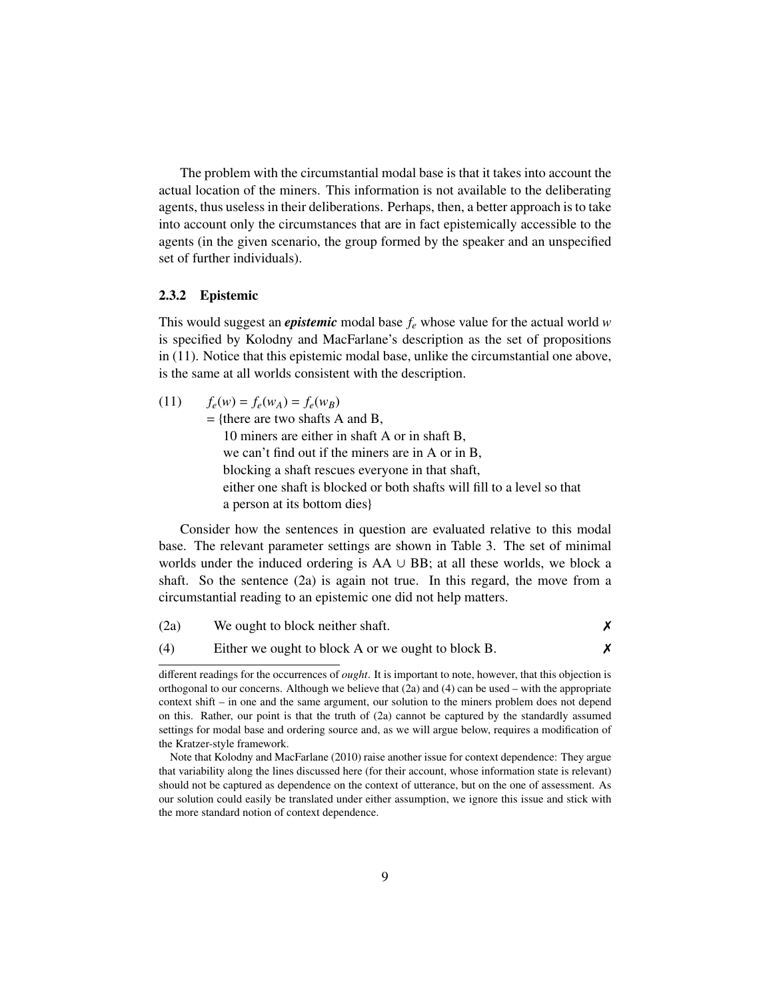The problem with the circumstantial modal base is that it takes into account the actual location of the miners. This information is not available to the deliberating agents, thus useless in their deliberations. Perhaps, then, a better approach is to take into account only the circumstances that are in fact epistemically accessible to the agents (in the given scenario, the group formed by the speaker and an unspecified set of further individuals).

#### 2.3.2 Epistemic

This would suggest an *epistemic* modal base *f<sup>e</sup>* whose value for the actual world *w* is specified by Kolodny and MacFarlane's description as the set of propositions in (11). Notice that this epistemic modal base, unlike the circumstantial one above, is the same at all worlds consistent with the description.

$$
(11) \qquad f_e(w) = f_e(w_A) = f_e(w_B)
$$

 $=$  {there are two shafts A and B,

10 miners are either in shaft A or in shaft B, we can't find out if the miners are in A or in B, blocking a shaft rescues everyone in that shaft, either one shaft is blocked or both shafts will fill to a level so that a person at its bottom dies}

Consider how the sentences in question are evaluated relative to this modal base. The relevant parameter settings are shown in Table 3. The set of minimal worlds under the induced ordering is AA ∪ BB; at all these worlds, we block a shaft. So the sentence (2a) is again not true. In this regard, the move from a circumstantial reading to an epistemic one did not help matters.

| (2a) | We ought to block neither shaft.                   |  |
|------|----------------------------------------------------|--|
| (4)  | Either we ought to block A or we ought to block B. |  |

different readings for the occurrences of *ought*. It is important to note, however, that this objection is orthogonal to our concerns. Although we believe that  $(2a)$  and  $(4)$  can be used – with the appropriate context shift – in one and the same argument, our solution to the miners problem does not depend on this. Rather, our point is that the truth of (2a) cannot be captured by the standardly assumed settings for modal base and ordering source and, as we will argue below, requires a modification of the Kratzer-style framework.

Note that Kolodny and MacFarlane (2010) raise another issue for context dependence: They argue that variability along the lines discussed here (for their account, whose information state is relevant) should not be captured as dependence on the context of utterance, but on the one of assessment. As our solution could easily be translated under either assumption, we ignore this issue and stick with the more standard notion of context dependence.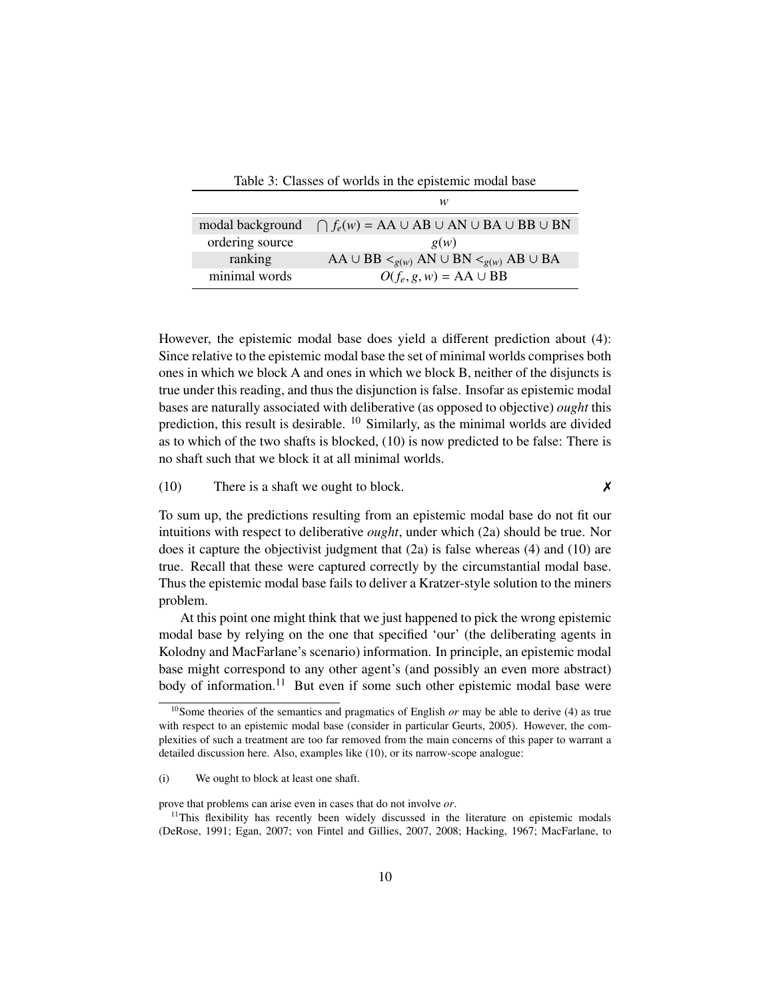| Table 3: Classes of worlds in the epistemic modal base |                                                                    |  |
|--------------------------------------------------------|--------------------------------------------------------------------|--|
|                                                        | w                                                                  |  |
| modal background                                       | $\bigcap f_e(w) = AA \cup AB \cup AN \cup BA \cup BB \cup BN$      |  |
| ordering source                                        | g(w)                                                               |  |
| ranking                                                | AA $\cup$ BB $\leq_{g(w)}$ AN $\cup$ BN $\leq_{g(w)}$ AB $\cup$ BA |  |
| minimal words                                          | $O(f_e, g, w) = AA \cup BB$                                        |  |

However, the epistemic modal base does yield a different prediction about (4): Since relative to the epistemic modal base the set of minimal worlds comprises both ones in which we block A and ones in which we block B, neither of the disjuncts is true under this reading, and thus the disjunction is false. Insofar as epistemic modal bases are naturally associated with deliberative (as opposed to objective) *ought* this prediction, this result is desirable. <sup>10</sup> Similarly, as the minimal worlds are divided as to which of the two shafts is blocked, (10) is now predicted to be false: There is no shaft such that we block it at all minimal worlds.

#### (10) There is a shaft we ought to block.  $\boldsymbol{\chi}$

To sum up, the predictions resulting from an epistemic modal base do not fit our intuitions with respect to deliberative *ought*, under which (2a) should be true. Nor does it capture the objectivist judgment that  $(2a)$  is false whereas  $(4)$  and  $(10)$  are true. Recall that these were captured correctly by the circumstantial modal base. Thus the epistemic modal base fails to deliver a Kratzer-style solution to the miners problem.

At this point one might think that we just happened to pick the wrong epistemic modal base by relying on the one that specified 'our' (the deliberating agents in Kolodny and MacFarlane's scenario) information. In principle, an epistemic modal base might correspond to any other agent's (and possibly an even more abstract) body of information.<sup>11</sup> But even if some such other epistemic modal base were

prove that problems can arise even in cases that do not involve *or*.

<sup>10</sup>Some theories of the semantics and pragmatics of English *or* may be able to derive (4) as true with respect to an epistemic modal base (consider in particular Geurts, 2005). However, the complexities of such a treatment are too far removed from the main concerns of this paper to warrant a detailed discussion here. Also, examples like (10), or its narrow-scope analogue:

<sup>(</sup>i) We ought to block at least one shaft.

<sup>&</sup>lt;sup>11</sup>This flexibility has recently been widely discussed in the literature on epistemic modals (DeRose, 1991; Egan, 2007; von Fintel and Gillies, 2007, 2008; Hacking, 1967; MacFarlane, to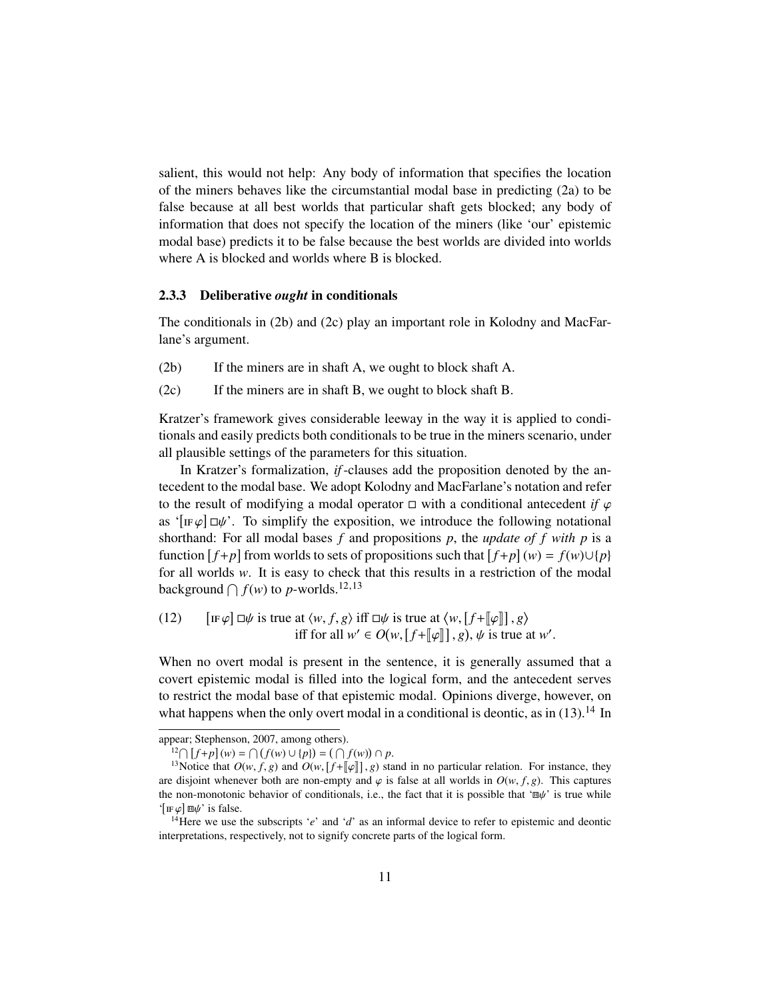salient, this would not help: Any body of information that specifies the location of the miners behaves like the circumstantial modal base in predicting (2a) to be false because at all best worlds that particular shaft gets blocked; any body of information that does not specify the location of the miners (like 'our' epistemic modal base) predicts it to be false because the best worlds are divided into worlds where A is blocked and worlds where B is blocked.

#### 2.3.3 Deliberative *ought* in conditionals

The conditionals in (2b) and (2c) play an important role in Kolodny and MacFarlane's argument.

- (2b) If the miners are in shaft A, we ought to block shaft A.
- (2c) If the miners are in shaft B, we ought to block shaft B.

Kratzer's framework gives considerable leeway in the way it is applied to conditionals and easily predicts both conditionals to be true in the miners scenario, under all plausible settings of the parameters for this situation.

In Kratzer's formalization, *if*-clauses add the proposition denoted by the antecedent to the modal base. We adopt Kolodny and MacFarlane's notation and refer to the result of modifying a modal operator  $\Box$  with a conditional antecedent *if*  $\varphi$ as '[IF $\varphi$ ]  $\Box \psi$ '. To simplify the exposition, we introduce the following notational<br>shorthand: For all modal bases f and propositions n the undate of f with n is a shorthand: For all modal bases *f* and propositions *p*, the *update of f with p* is a function  $[f+p]$  from worlds to sets of propositions such that  $[f+p](w) = f(w) \cup \{p\}$ for all worlds *w*. It is easy to check that this results in a restriction of the modal background  $\bigcap f(w)$  to *p*-worlds.<sup>12,13</sup>

(12) 
$$
[\text{IF }\varphi] \Box \psi \text{ is true at } \langle w, f, g \rangle \text{ iff } \Box \psi \text{ is true at } \langle w, [f + [\varphi]], g \rangle
$$
  
iff for all  $w' \in O(w, [f + [\varphi]], g), \psi \text{ is true at } w'.$ 

When no overt modal is present in the sentence, it is generally assumed that a covert epistemic modal is filled into the logical form, and the antecedent serves to restrict the modal base of that epistemic modal. Opinions diverge, however, on what happens when the only overt modal in a conditional is deontic, as in  $(13).<sup>14</sup>$  In

 $f^{12} \cap [f+p](w) = \cap (f(w) \cup \{p\}) = (\cap f(w)) \cap p.$ 

appear; Stephenson, 2007, among others).

<sup>&</sup>lt;sup>13</sup>Notice that  $O(w, f, g)$  and  $O(w, [f + [\![\varphi]\!]], g)$  stand in no particular relation. For instance, they disjoint whenever both are non-empty and  $\varphi$  is false at all worlds in  $O(w, f, g)$ . This captures are disjoint whenever both are non-empty and  $\varphi$  is false at all worlds in  $O(w, f, g)$ . This captures the non-monotonic behavior of conditionals, i.e., the fact that it is possible that ' $\mathbb{E} \psi'$  is true while ' $[\text{IF }\varphi] \square \psi'$  is false.<br><sup>14</sup>Here we use t

<sup>14</sup>Here we use the subscripts '*e*' and '*d*' as an informal device to refer to epistemic and deontic interpretations, respectively, not to signify concrete parts of the logical form.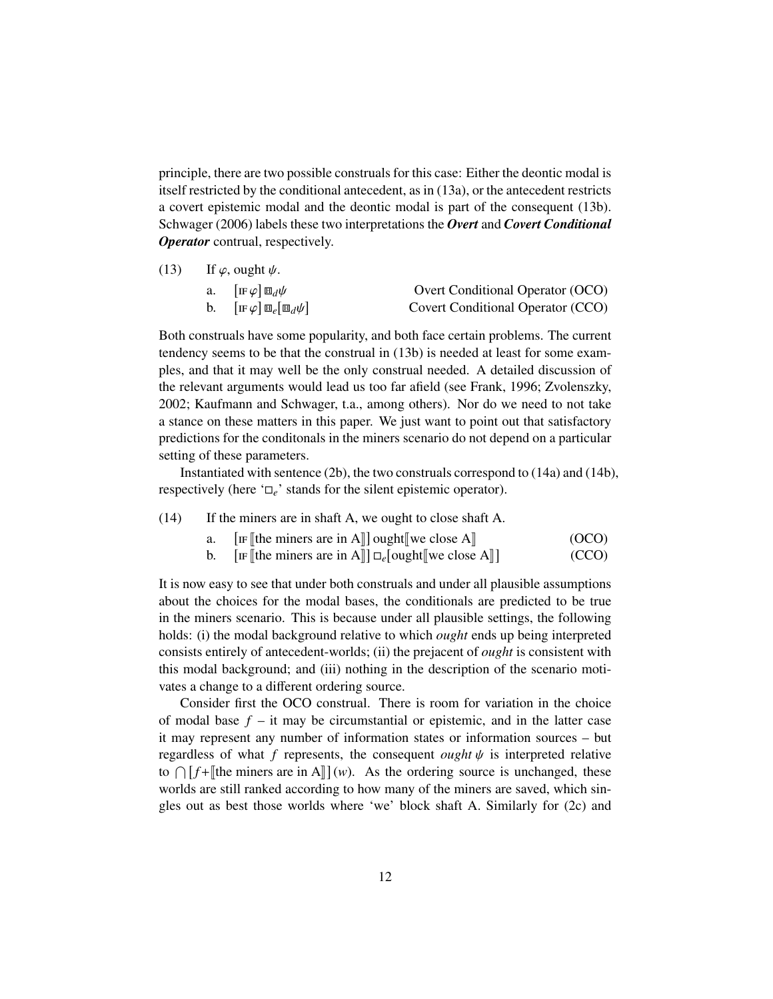principle, there are two possible construals for this case: Either the deontic modal is itself restricted by the conditional antecedent, as in (13a), or the antecedent restricts a covert epistemic modal and the deontic modal is part of the consequent (13b). Schwager (2006) labels these two interpretations the *Overt* and *Covert Conditional Operator* contrual, respectively.

| (13) | If $\varphi$ , ought $\psi$ . |              |
|------|-------------------------------|--------------|
|      |                               | $\mathbf{1}$ |

| a. $[\text{IF }\varphi]\boxplus_d\psi$            | Overt Conditional Operator (OCO)  |
|---------------------------------------------------|-----------------------------------|
| b. $[\text{IF}\varphi]\boxplus_e[\boxplus_d\psi]$ | Covert Conditional Operator (CCO) |

Both construals have some popularity, and both face certain problems. The current tendency seems to be that the construal in (13b) is needed at least for some examples, and that it may well be the only construal needed. A detailed discussion of the relevant arguments would lead us too far afield (see Frank, 1996; Zvolenszky, 2002; Kaufmann and Schwager, t.a., among others). Nor do we need to not take a stance on these matters in this paper. We just want to point out that satisfactory predictions for the conditonals in the miners scenario do not depend on a particular setting of these parameters.

Instantiated with sentence (2b), the two construals correspond to (14a) and (14b), respectively (here  $\Box_e$ <sup>'</sup> stands for the silent epistemic operator).

### (14) If the miners are in shaft A, we ought to close shaft A.

- $a$ . If  $[\text{the minors are in A}]]$  ought  $[\text{we close A}]$  (OCO)<br>  $\Pi$  (Regenerate are in A<sub>LI</sub>  $\Pi$  fought  $[\text{two poles A}]$  (CCO)
- $b.$  $\mathbb{F}$  [the miners are in A]]  $\Box_e$  [ought [we close A]] (CCO)

It is now easy to see that under both construals and under all plausible assumptions about the choices for the modal bases, the conditionals are predicted to be true in the miners scenario. This is because under all plausible settings, the following holds: (i) the modal background relative to which *ought* ends up being interpreted consists entirely of antecedent-worlds; (ii) the prejacent of *ought* is consistent with this modal background; and (iii) nothing in the description of the scenario motivates a change to a different ordering source.

Consider first the OCO construal. There is room for variation in the choice of modal base  $f - it$  may be circumstantial or epistemic, and in the latter case it may represent any number of information states or information sources – but regardless of what  $f$  represents, the consequent *ought*  $\psi$  is interpreted relative to  $\bigcap [f + \mathbb{I}]$  the miners are in A $\mathbb{I}$  $](w)$ . As the ordering source is unchanged, these worlds are still ranked according to how many of the miners are saved, which singles out as best those worlds where 'we' block shaft A. Similarly for (2c) and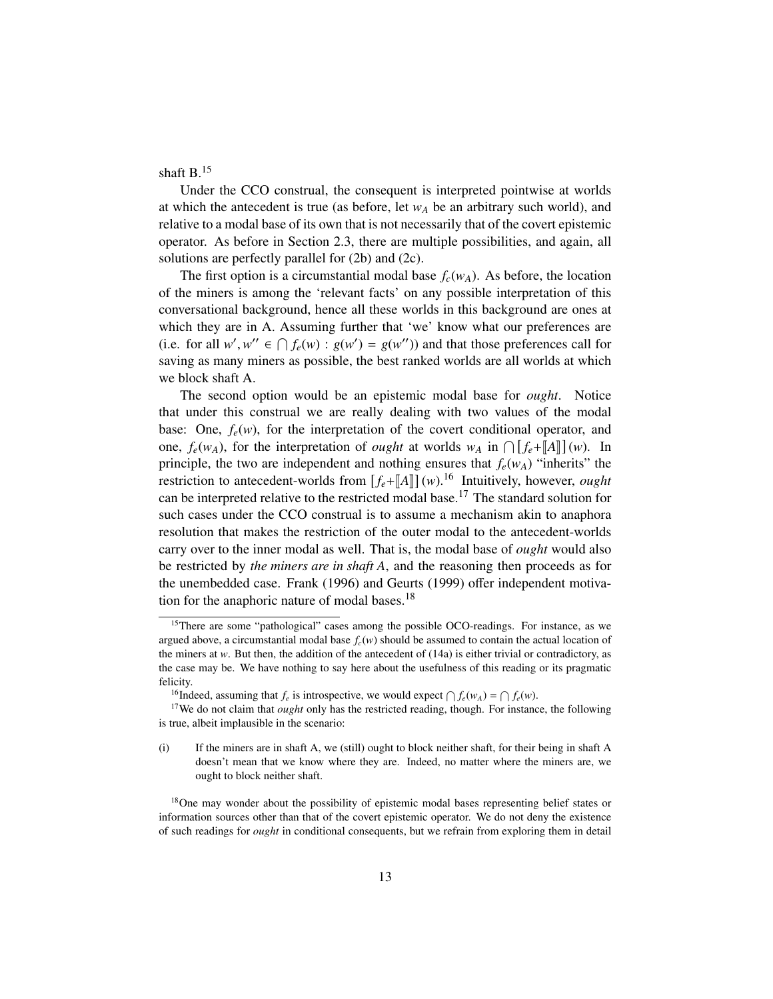shaft B.<sup>15</sup>

Under the CCO construal, the consequent is interpreted pointwise at worlds at which the antecedent is true (as before, let  $w_A$  be an arbitrary such world), and relative to a modal base of its own that is not necessarily that of the covert epistemic operator. As before in Section 2.3, there are multiple possibilities, and again, all solutions are perfectly parallel for (2b) and (2c).

The first option is a circumstantial modal base  $f_c(w_A)$ . As before, the location of the miners is among the 'relevant facts' on any possible interpretation of this conversational background, hence all these worlds in this background are ones at which they are in A. Assuming further that 'we' know what our preferences are (i.e. for all  $w'$ ,  $w'' \in \bigcap f_e(w)$ :  $g(w') = g(w'')$ ) and that those preferences call for saving as many miners as possible, the best ranked worlds are all worlds at which we block shaft A.

The second option would be an epistemic modal base for *ought*. Notice that under this construal we are really dealing with two values of the modal base: One,  $f_e(w)$ , for the interpretation of the covert conditional operator, and one,  $f_e(w_A)$ , for the interpretation of *ought* at worlds  $w_A$  in  $\bigcap [f_e + [A]](w)$ . In principle, the two are independent and nothing ensures that  $f_e(w_A)$  "inherits" the restriction to antecedent-worlds from  $[f_e + [A]](w)$ .<sup>16</sup> Intuitively, however, *ought*<br>can be interpreted relative to the restricted model here <sup>17</sup>. The standard selution for can be interpreted relative to the restricted modal base.<sup>17</sup> The standard solution for such cases under the CCO construal is to assume a mechanism akin to anaphora resolution that makes the restriction of the outer modal to the antecedent-worlds carry over to the inner modal as well. That is, the modal base of *ought* would also be restricted by *the miners are in shaft A*, and the reasoning then proceeds as for the unembedded case. Frank (1996) and Geurts (1999) offer independent motivation for the anaphoric nature of modal bases. $18$ 

<sup>&</sup>lt;sup>15</sup>There are some "pathological" cases among the possible OCO-readings. For instance, as we argued above, a circumstantial modal base  $f_c(w)$  should be assumed to contain the actual location of the miners at  $w$ . But then, the addition of the antecedent of  $(14a)$  is either trivial or contradictory, as the case may be. We have nothing to say here about the usefulness of this reading or its pragmatic felicity.

<sup>&</sup>lt;sup>16</sup>Indeed, assuming that  $f_e$  is introspective, we would expect  $\bigcap f_e(w_A) = \bigcap f_e(w)$ .

<sup>&</sup>lt;sup>17</sup>We do not claim that *ought* only has the restricted reading, though. For instance, the following is true, albeit implausible in the scenario:

<sup>(</sup>i) If the miners are in shaft A, we (still) ought to block neither shaft, for their being in shaft A doesn't mean that we know where they are. Indeed, no matter where the miners are, we ought to block neither shaft.

<sup>&</sup>lt;sup>18</sup>One may wonder about the possibility of epistemic modal bases representing belief states or information sources other than that of the covert epistemic operator. We do not deny the existence of such readings for *ought* in conditional consequents, but we refrain from exploring them in detail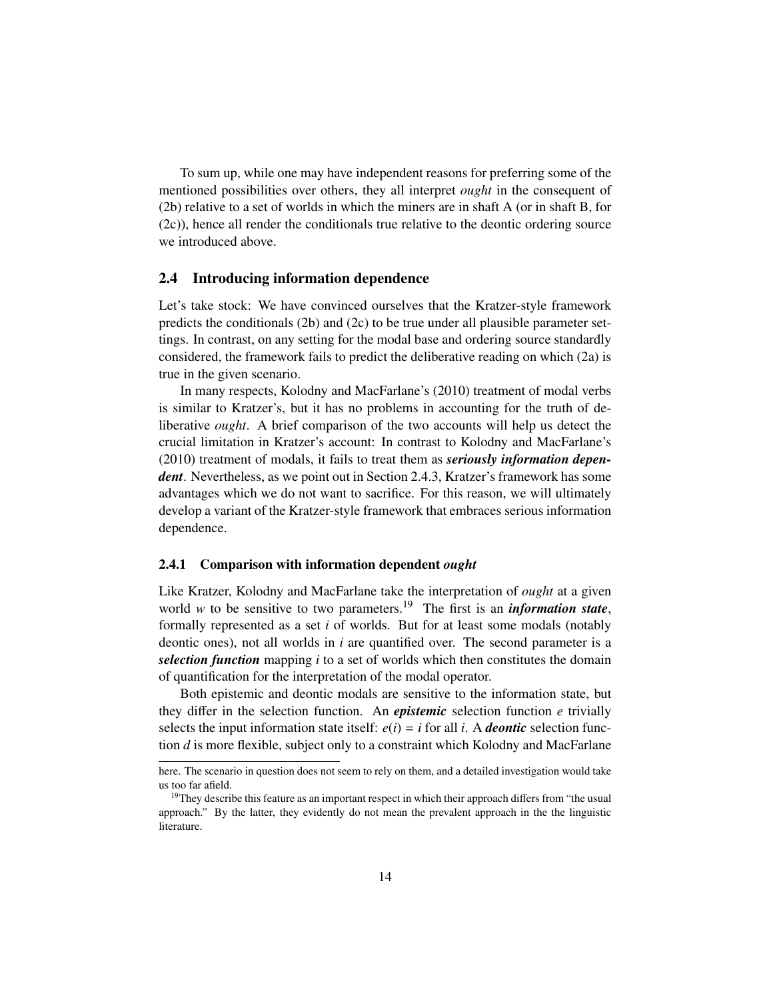To sum up, while one may have independent reasons for preferring some of the mentioned possibilities over others, they all interpret *ought* in the consequent of (2b) relative to a set of worlds in which the miners are in shaft A (or in shaft B, for (2c)), hence all render the conditionals true relative to the deontic ordering source we introduced above.

#### 2.4 Introducing information dependence

Let's take stock: We have convinced ourselves that the Kratzer-style framework predicts the conditionals  $(2b)$  and  $(2c)$  to be true under all plausible parameter settings. In contrast, on any setting for the modal base and ordering source standardly considered, the framework fails to predict the deliberative reading on which (2a) is true in the given scenario.

In many respects, Kolodny and MacFarlane's (2010) treatment of modal verbs is similar to Kratzer's, but it has no problems in accounting for the truth of deliberative *ought*. A brief comparison of the two accounts will help us detect the crucial limitation in Kratzer's account: In contrast to Kolodny and MacFarlane's (2010) treatment of modals, it fails to treat them as *seriously information dependent*. Nevertheless, as we point out in Section 2.4.3, Kratzer's framework has some advantages which we do not want to sacrifice. For this reason, we will ultimately develop a variant of the Kratzer-style framework that embraces serious information dependence.

#### 2.4.1 Comparison with information dependent *ought*

Like Kratzer, Kolodny and MacFarlane take the interpretation of *ought* at a given world *w* to be sensitive to two parameters.<sup>19</sup> The first is an *information state*, formally represented as a set *i* of worlds. But for at least some modals (notably deontic ones), not all worlds in *i* are quantified over. The second parameter is a *selection function* mapping *i* to a set of worlds which then constitutes the domain of quantification for the interpretation of the modal operator.

Both epistemic and deontic modals are sensitive to the information state, but they differ in the selection function. An *epistemic* selection function *e* trivially selects the input information state itself:  $e(i) = i$  for all *i*. A *deontic* selection function *d* is more flexible, subject only to a constraint which Kolodny and MacFarlane

here. The scenario in question does not seem to rely on them, and a detailed investigation would take us too far afield.

<sup>&</sup>lt;sup>19</sup>They describe this feature as an important respect in which their approach differs from "the usual approach." By the latter, they evidently do not mean the prevalent approach in the the linguistic literature.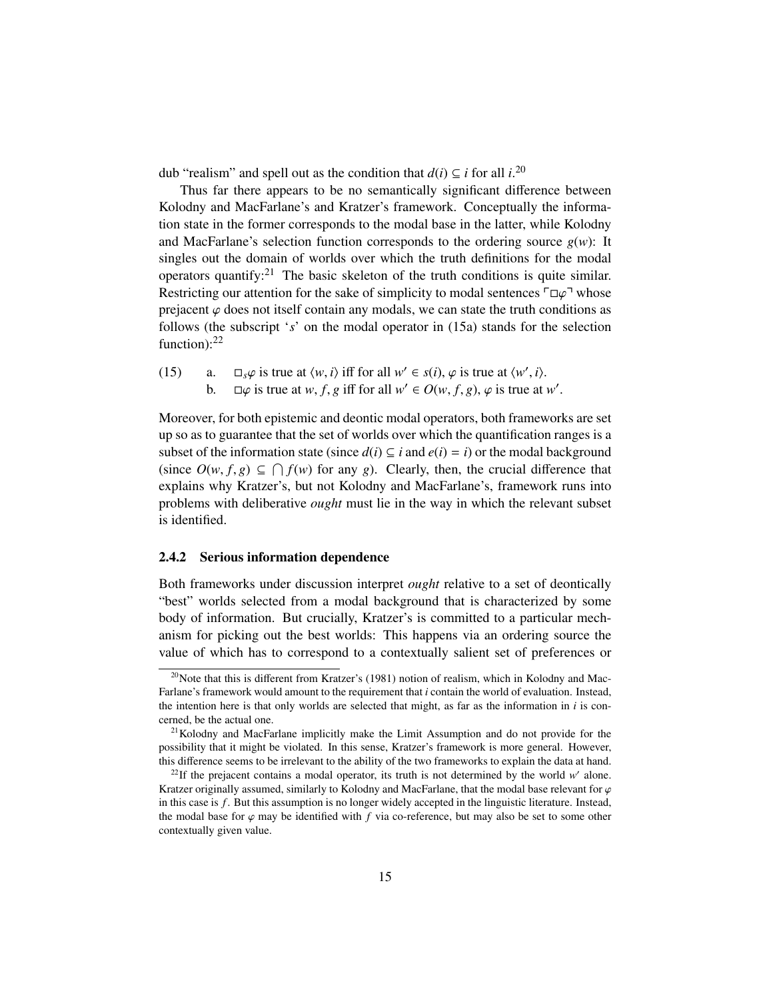dub "realism" and spell out as the condition that  $d(i) \subseteq i$  for all *i*.<sup>20</sup>

Thus far there appears to be no semantically significant difference between Kolodny and MacFarlane's and Kratzer's framework. Conceptually the information state in the former corresponds to the modal base in the latter, while Kolodny and MacFarlane's selection function corresponds to the ordering source  $g(w)$ : It singles out the domain of worlds over which the truth definitions for the modal operators quantify:<sup>21</sup> The basic skeleton of the truth conditions is quite similar. Restricting our attention for the sake of simplicity to modal sentences  $\ulcorner\Box\varphi\urcorner$  whose prejacent  $\varphi$  does not itself contain any modals, we can state the truth conditions as follows (the subscript '*s*' on the modal operator in (15a) stands for the selection function): $^{22}$ 

- (15) a.  $\square_s \varphi$  is true at  $\langle w, i \rangle$  iff for all  $w' \in s(i)$ ,  $\varphi$  is true at  $\langle w', i \rangle$ .<br>
b  $\square \varphi$  is true at  $w \neq g$  if for all  $w' \in O(w \neq g)$ ,  $\varphi$  is true at
	- b.  $\Box \varphi$  is true at *w*, *f*, *g* iff for all  $w' \in O(w, f, g)$ ,  $\varphi$  is true at *w'*.

Moreover, for both epistemic and deontic modal operators, both frameworks are set up so as to guarantee that the set of worlds over which the quantification ranges is a subset of the information state (since  $d(i) \subseteq i$  and  $e(i) = i$ ) or the modal background (since  $O(w, f, g) \subseteq \bigcap f(w)$  for any *g*). Clearly, then, the crucial difference that explains why Kratzer's but not Kolodny and MacFarlane's framework runs into explains why Kratzer's, but not Kolodny and MacFarlane's, framework runs into problems with deliberative *ought* must lie in the way in which the relevant subset is identified.

#### 2.4.2 Serious information dependence

Both frameworks under discussion interpret *ought* relative to a set of deontically "best" worlds selected from a modal background that is characterized by some body of information. But crucially, Kratzer's is committed to a particular mechanism for picking out the best worlds: This happens via an ordering source the value of which has to correspond to a contextually salient set of preferences or

<sup>&</sup>lt;sup>20</sup>Note that this is different from Kratzer's (1981) notion of realism, which in Kolodny and Mac-Farlane's framework would amount to the requirement that *i* contain the world of evaluation. Instead, the intention here is that only worlds are selected that might, as far as the information in *i* is concerned, be the actual one.

 $21$ Kolodny and MacFarlane implicitly make the Limit Assumption and do not provide for the possibility that it might be violated. In this sense, Kratzer's framework is more general. However, this difference seems to be irrelevant to the ability of the two frameworks to explain the data at hand.

<sup>&</sup>lt;sup>22</sup>If the prejacent contains a modal operator, its truth is not determined by the world  $w'$  alone. Kratzer originally assumed, similarly to Kolodny and MacFarlane, that the modal base relevant for  $\varphi$ in this case is *f* . But this assumption is no longer widely accepted in the linguistic literature. Instead, the modal base for  $\varphi$  may be identified with *f* via co-reference, but may also be set to some other contextually given value.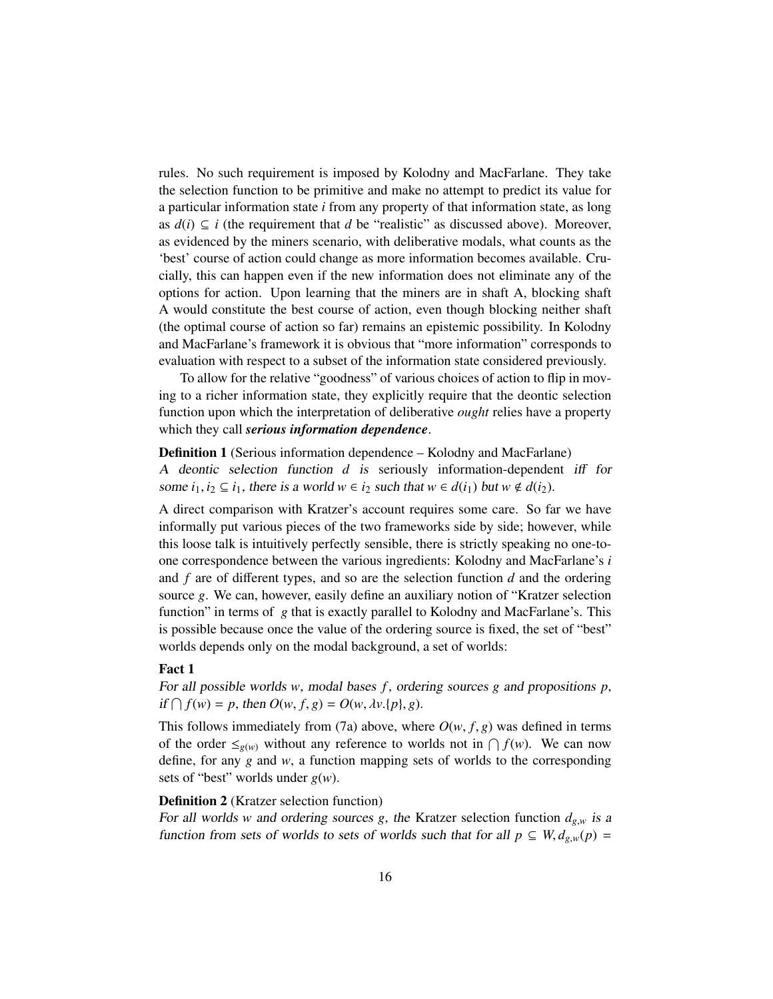rules. No such requirement is imposed by Kolodny and MacFarlane. They take the selection function to be primitive and make no attempt to predict its value for a particular information state *i* from any property of that information state, as long as  $d(i) \subseteq i$  (the requirement that *d* be "realistic" as discussed above). Moreover, as evidenced by the miners scenario, with deliberative modals, what counts as the 'best' course of action could change as more information becomes available. Crucially, this can happen even if the new information does not eliminate any of the options for action. Upon learning that the miners are in shaft A, blocking shaft A would constitute the best course of action, even though blocking neither shaft (the optimal course of action so far) remains an epistemic possibility. In Kolodny and MacFarlane's framework it is obvious that "more information" corresponds to evaluation with respect to a subset of the information state considered previously.

To allow for the relative "goodness" of various choices of action to flip in moving to a richer information state, they explicitly require that the deontic selection function upon which the interpretation of deliberative *ought* relies have a property which they call *serious information dependence*.

#### Definition 1 (Serious information dependence – Kolodny and MacFarlane)

A deontic selection function *d* is seriously information-dependent iff for some  $i_1, i_2 \subseteq i_1$ , there is a world  $w \in i_2$  such that  $w \in d(i_1)$  but  $w \notin d(i_2)$ .

A direct comparison with Kratzer's account requires some care. So far we have informally put various pieces of the two frameworks side by side; however, while this loose talk is intuitively perfectly sensible, there is strictly speaking no one-toone correspondence between the various ingredients: Kolodny and MacFarlane's *i* and *f* are of different types, and so are the selection function *d* and the ordering source *g*. We can, however, easily define an auxiliary notion of "Kratzer selection function" in terms of *g* that is exactly parallel to Kolodny and MacFarlane's. This is possible because once the value of the ordering source is fixed, the set of "best" worlds depends only on the modal background, a set of worlds:

#### Fact 1

For all possible worlds *w*, modal bases *f* , ordering sources *g* and propositions *p*,  $if \bigcap f(w) = p$ , then  $O(w, f, g) = O(w, \lambda v. \{p\}, g)$ .

This follows immediately from (7a) above, where  $O(w, f, g)$  was defined in terms of the order  $\leq_{g(w)}$  without any reference to worlds not in  $\bigcap f(w)$ . We can now define, for any *g* and *w*, a function mapping sets of worlds to the corresponding sets of "best" worlds under *g*(*w*).

## Definition 2 (Kratzer selection function)

For all worlds *w* and ordering sources *g*, the Kratzer selection function  $d_{g,w}$  is a function from sets of worlds to sets of worlds such that for all  $p \subseteq W, d_{g,w}(p) =$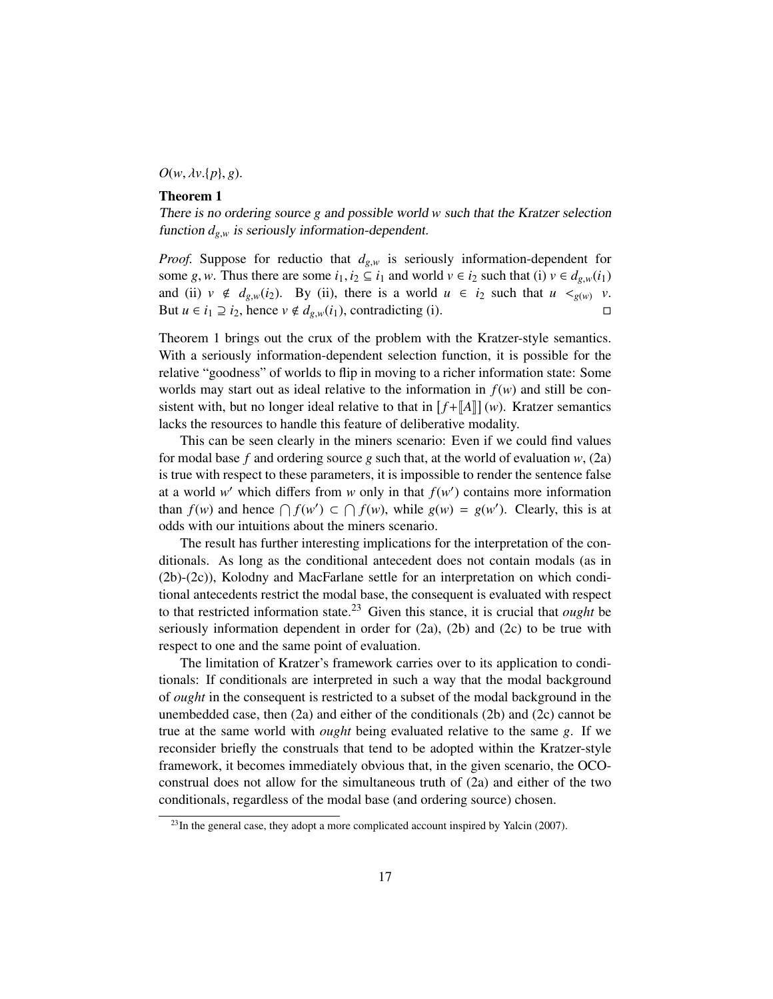$O(w, \lambda v.\{p\}, g)$ .

### Theorem 1

There is no ordering source *g* and possible world *w* such that the Kratzer selection function  $d_{g,w}$  is seriously information-dependent.

*Proof.* Suppose for reductio that  $d_{g,w}$  is seriously information-dependent for some *g*, *w*. Thus there are some  $i_1, i_2 \subseteq i_1$  and world  $v \in i_2$  such that (i)  $v \in d_{g,w}(i_1)$ and (ii)  $v \notin d_{g,w}(i_2)$ . By (ii), there is a world  $u \in i_2$  such that  $u <_{g(w)} v$ . But  $u \in i_1 \supseteq i_2$ , hence  $v \notin d_{g,w}(i_1)$ , contradicting (i).

Theorem 1 brings out the crux of the problem with the Kratzer-style semantics. With a seriously information-dependent selection function, it is possible for the relative "goodness" of worlds to flip in moving to a richer information state: Some worlds may start out as ideal relative to the information in  $f(w)$  and still be consistent with, but no longer ideal relative to that in  $[f + [A]](w)$ . Kratzer semantics lacks the resources to handle this feature of deliberative modality.

This can be seen clearly in the miners scenario: Even if we could find values for modal base  $f$  and ordering source  $g$  such that, at the world of evaluation  $w$ , (2a) is true with respect to these parameters, it is impossible to render the sentence false at a world *w*' which differs from *w* only in that  $f(w')$  contains more information than  $f(w)$  and hence  $\bigcap f(w') \subset \bigcap f(w)$ , while  $g(w) = g(w')$ . Clearly, this is at odds with our intuitions about the miners scenario.

The result has further interesting implications for the interpretation of the conditionals. As long as the conditional antecedent does not contain modals (as in (2b)-(2c)), Kolodny and MacFarlane settle for an interpretation on which conditional antecedents restrict the modal base, the consequent is evaluated with respect to that restricted information state.<sup>23</sup> Given this stance, it is crucial that *ought* be seriously information dependent in order for  $(2a)$ ,  $(2b)$  and  $(2c)$  to be true with respect to one and the same point of evaluation.

The limitation of Kratzer's framework carries over to its application to conditionals: If conditionals are interpreted in such a way that the modal background of *ought* in the consequent is restricted to a subset of the modal background in the unembedded case, then (2a) and either of the conditionals (2b) and (2c) cannot be true at the same world with *ought* being evaluated relative to the same *g*. If we reconsider briefly the construals that tend to be adopted within the Kratzer-style framework, it becomes immediately obvious that, in the given scenario, the OCOconstrual does not allow for the simultaneous truth of (2a) and either of the two conditionals, regardless of the modal base (and ordering source) chosen.

 $^{23}$ In the general case, they adopt a more complicated account inspired by Yalcin (2007).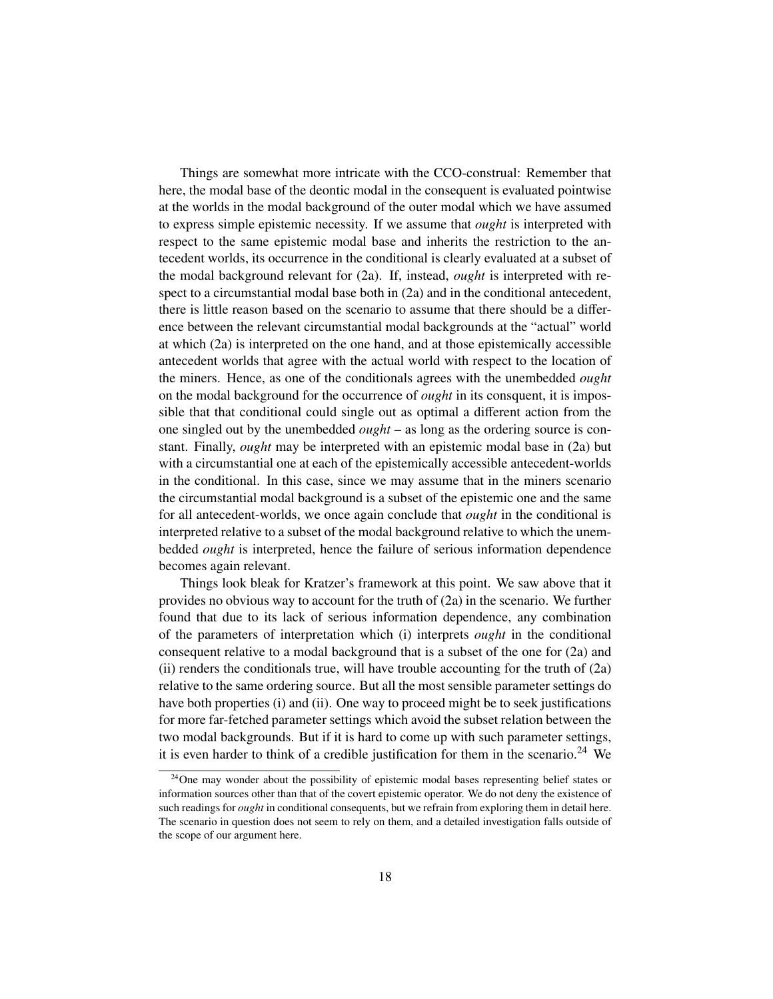Things are somewhat more intricate with the CCO-construal: Remember that here, the modal base of the deontic modal in the consequent is evaluated pointwise at the worlds in the modal background of the outer modal which we have assumed to express simple epistemic necessity. If we assume that *ought* is interpreted with respect to the same epistemic modal base and inherits the restriction to the antecedent worlds, its occurrence in the conditional is clearly evaluated at a subset of the modal background relevant for (2a). If, instead, *ought* is interpreted with respect to a circumstantial modal base both in (2a) and in the conditional antecedent, there is little reason based on the scenario to assume that there should be a difference between the relevant circumstantial modal backgrounds at the "actual" world at which (2a) is interpreted on the one hand, and at those epistemically accessible antecedent worlds that agree with the actual world with respect to the location of the miners. Hence, as one of the conditionals agrees with the unembedded *ought* on the modal background for the occurrence of *ought* in its consquent, it is impossible that that conditional could single out as optimal a different action from the one singled out by the unembedded *ought* – as long as the ordering source is constant. Finally, *ought* may be interpreted with an epistemic modal base in (2a) but with a circumstantial one at each of the epistemically accessible antecedent-worlds in the conditional. In this case, since we may assume that in the miners scenario the circumstantial modal background is a subset of the epistemic one and the same for all antecedent-worlds, we once again conclude that *ought* in the conditional is interpreted relative to a subset of the modal background relative to which the unembedded *ought* is interpreted, hence the failure of serious information dependence becomes again relevant.

Things look bleak for Kratzer's framework at this point. We saw above that it provides no obvious way to account for the truth of (2a) in the scenario. We further found that due to its lack of serious information dependence, any combination of the parameters of interpretation which (i) interprets *ought* in the conditional consequent relative to a modal background that is a subset of the one for (2a) and (ii) renders the conditionals true, will have trouble accounting for the truth of (2a) relative to the same ordering source. But all the most sensible parameter settings do have both properties (i) and (ii). One way to proceed might be to seek justifications for more far-fetched parameter settings which avoid the subset relation between the two modal backgrounds. But if it is hard to come up with such parameter settings, it is even harder to think of a credible justification for them in the scenario.<sup>24</sup> We

 $24$ One may wonder about the possibility of epistemic modal bases representing belief states or information sources other than that of the covert epistemic operator. We do not deny the existence of such readings for *ought* in conditional consequents, but we refrain from exploring them in detail here. The scenario in question does not seem to rely on them, and a detailed investigation falls outside of the scope of our argument here.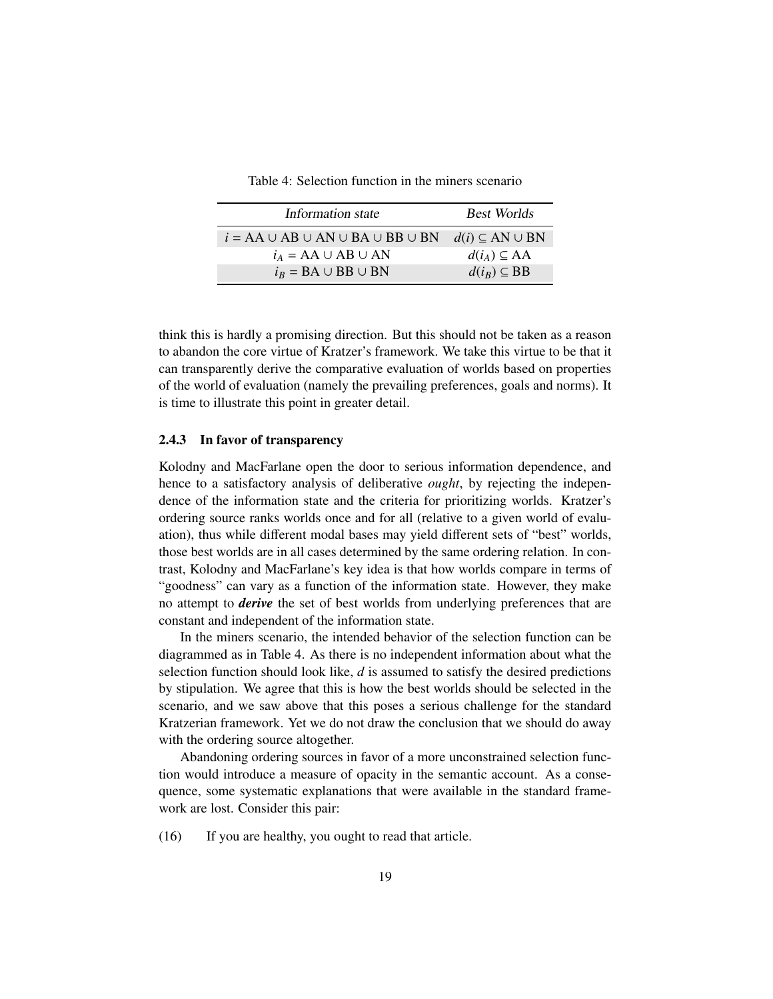| Table 4: Selection function in the miners scenario |  |  |
|----------------------------------------------------|--|--|
|                                                    |  |  |

| Information state                                | <b>Best Worlds</b>          |
|--------------------------------------------------|-----------------------------|
| $i = AA \cup AB \cup AN \cup BA \cup BB \cup BN$ | $d(i) \subseteq AN \cup BN$ |
| $i_A = AA \cup AB \cup AN$                       | $d(i_A) \subseteq AA$       |
| $i_R = BA \cup BB \cup BN$                       | $d(i_R) \subseteq BB$       |

think this is hardly a promising direction. But this should not be taken as a reason to abandon the core virtue of Kratzer's framework. We take this virtue to be that it can transparently derive the comparative evaluation of worlds based on properties of the world of evaluation (namely the prevailing preferences, goals and norms). It is time to illustrate this point in greater detail.

#### 2.4.3 In favor of transparency

Kolodny and MacFarlane open the door to serious information dependence, and hence to a satisfactory analysis of deliberative *ought*, by rejecting the independence of the information state and the criteria for prioritizing worlds. Kratzer's ordering source ranks worlds once and for all (relative to a given world of evaluation), thus while different modal bases may yield different sets of "best" worlds, those best worlds are in all cases determined by the same ordering relation. In contrast, Kolodny and MacFarlane's key idea is that how worlds compare in terms of "goodness" can vary as a function of the information state. However, they make no attempt to *derive* the set of best worlds from underlying preferences that are constant and independent of the information state.

In the miners scenario, the intended behavior of the selection function can be diagrammed as in Table 4. As there is no independent information about what the selection function should look like, *d* is assumed to satisfy the desired predictions by stipulation. We agree that this is how the best worlds should be selected in the scenario, and we saw above that this poses a serious challenge for the standard Kratzerian framework. Yet we do not draw the conclusion that we should do away with the ordering source altogether.

Abandoning ordering sources in favor of a more unconstrained selection function would introduce a measure of opacity in the semantic account. As a consequence, some systematic explanations that were available in the standard framework are lost. Consider this pair:

(16) If you are healthy, you ought to read that article.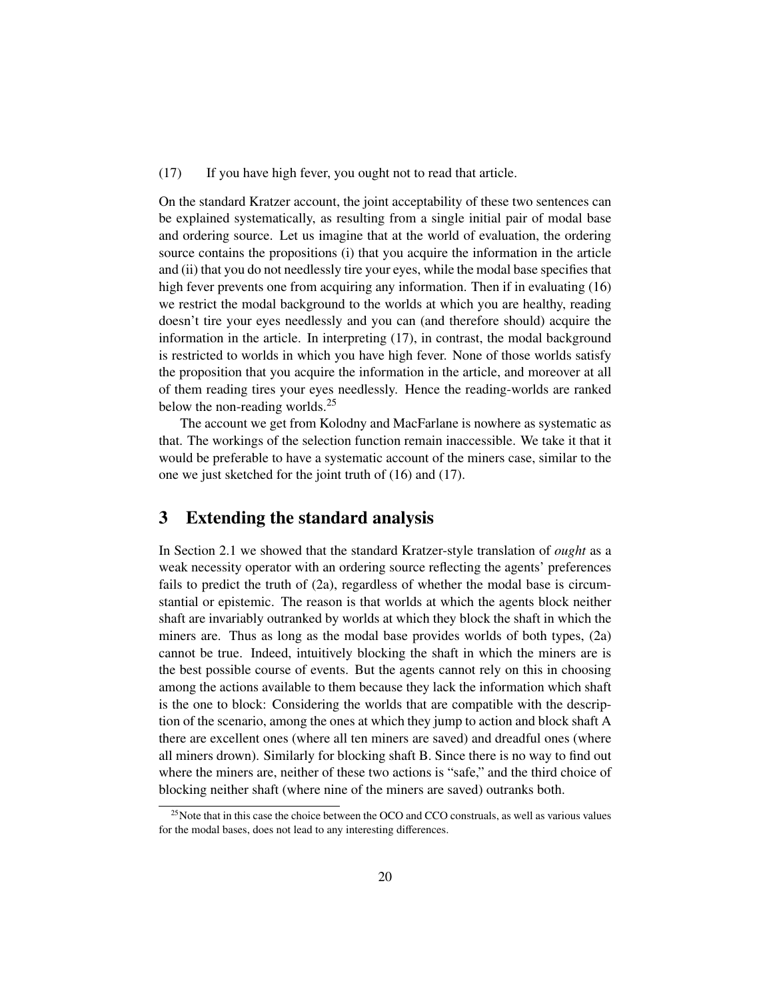(17) If you have high fever, you ought not to read that article.

On the standard Kratzer account, the joint acceptability of these two sentences can be explained systematically, as resulting from a single initial pair of modal base and ordering source. Let us imagine that at the world of evaluation, the ordering source contains the propositions (i) that you acquire the information in the article and (ii) that you do not needlessly tire your eyes, while the modal base specifies that high fever prevents one from acquiring any information. Then if in evaluating (16) we restrict the modal background to the worlds at which you are healthy, reading doesn't tire your eyes needlessly and you can (and therefore should) acquire the information in the article. In interpreting (17), in contrast, the modal background is restricted to worlds in which you have high fever. None of those worlds satisfy the proposition that you acquire the information in the article, and moreover at all of them reading tires your eyes needlessly. Hence the reading-worlds are ranked below the non-reading worlds.<sup>25</sup>

The account we get from Kolodny and MacFarlane is nowhere as systematic as that. The workings of the selection function remain inaccessible. We take it that it would be preferable to have a systematic account of the miners case, similar to the one we just sketched for the joint truth of (16) and (17).

# 3 Extending the standard analysis

In Section 2.1 we showed that the standard Kratzer-style translation of *ought* as a weak necessity operator with an ordering source reflecting the agents' preferences fails to predict the truth of (2a), regardless of whether the modal base is circumstantial or epistemic. The reason is that worlds at which the agents block neither shaft are invariably outranked by worlds at which they block the shaft in which the miners are. Thus as long as the modal base provides worlds of both types, (2a) cannot be true. Indeed, intuitively blocking the shaft in which the miners are is the best possible course of events. But the agents cannot rely on this in choosing among the actions available to them because they lack the information which shaft is the one to block: Considering the worlds that are compatible with the description of the scenario, among the ones at which they jump to action and block shaft A there are excellent ones (where all ten miners are saved) and dreadful ones (where all miners drown). Similarly for blocking shaft B. Since there is no way to find out where the miners are, neither of these two actions is "safe," and the third choice of blocking neither shaft (where nine of the miners are saved) outranks both.

<sup>&</sup>lt;sup>25</sup>Note that in this case the choice between the OCO and CCO construals, as well as various values for the modal bases, does not lead to any interesting differences.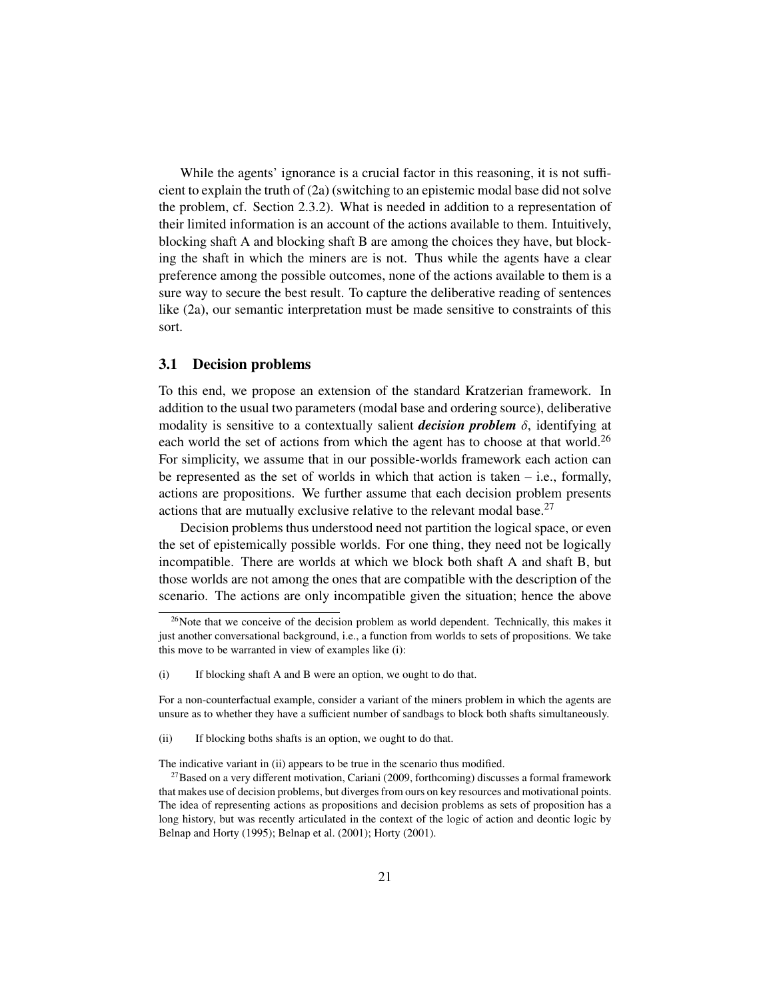While the agents' ignorance is a crucial factor in this reasoning, it is not sufficient to explain the truth of (2a) (switching to an epistemic modal base did not solve the problem, cf. Section 2.3.2). What is needed in addition to a representation of their limited information is an account of the actions available to them. Intuitively, blocking shaft A and blocking shaft B are among the choices they have, but blocking the shaft in which the miners are is not. Thus while the agents have a clear preference among the possible outcomes, none of the actions available to them is a sure way to secure the best result. To capture the deliberative reading of sentences like (2a), our semantic interpretation must be made sensitive to constraints of this sort.

### 3.1 Decision problems

To this end, we propose an extension of the standard Kratzerian framework. In addition to the usual two parameters (modal base and ordering source), deliberative modality is sensitive to a contextually salient *decision problem*  $\delta$ , identifying at each world the set of actions from which the agent has to choose at that world.<sup>26</sup> For simplicity, we assume that in our possible-worlds framework each action can be represented as the set of worlds in which that action is taken  $-$  i.e., formally, actions are propositions. We further assume that each decision problem presents actions that are mutually exclusive relative to the relevant modal base. $27$ 

Decision problems thus understood need not partition the logical space, or even the set of epistemically possible worlds. For one thing, they need not be logically incompatible. There are worlds at which we block both shaft A and shaft B, but those worlds are not among the ones that are compatible with the description of the scenario. The actions are only incompatible given the situation; hence the above

For a non-counterfactual example, consider a variant of the miners problem in which the agents are unsure as to whether they have a sufficient number of sandbags to block both shafts simultaneously.

The indicative variant in (ii) appears to be true in the scenario thus modified.

 $26$ Note that we conceive of the decision problem as world dependent. Technically, this makes it just another conversational background, i.e., a function from worlds to sets of propositions. We take this move to be warranted in view of examples like (i):

<sup>(</sup>i) If blocking shaft A and B were an option, we ought to do that.

<sup>(</sup>ii) If blocking boths shafts is an option, we ought to do that.

 $27$ Based on a very different motivation, Cariani (2009, forthcoming) discusses a formal framework that makes use of decision problems, but diverges from ours on key resources and motivational points. The idea of representing actions as propositions and decision problems as sets of proposition has a long history, but was recently articulated in the context of the logic of action and deontic logic by Belnap and Horty (1995); Belnap et al. (2001); Horty (2001).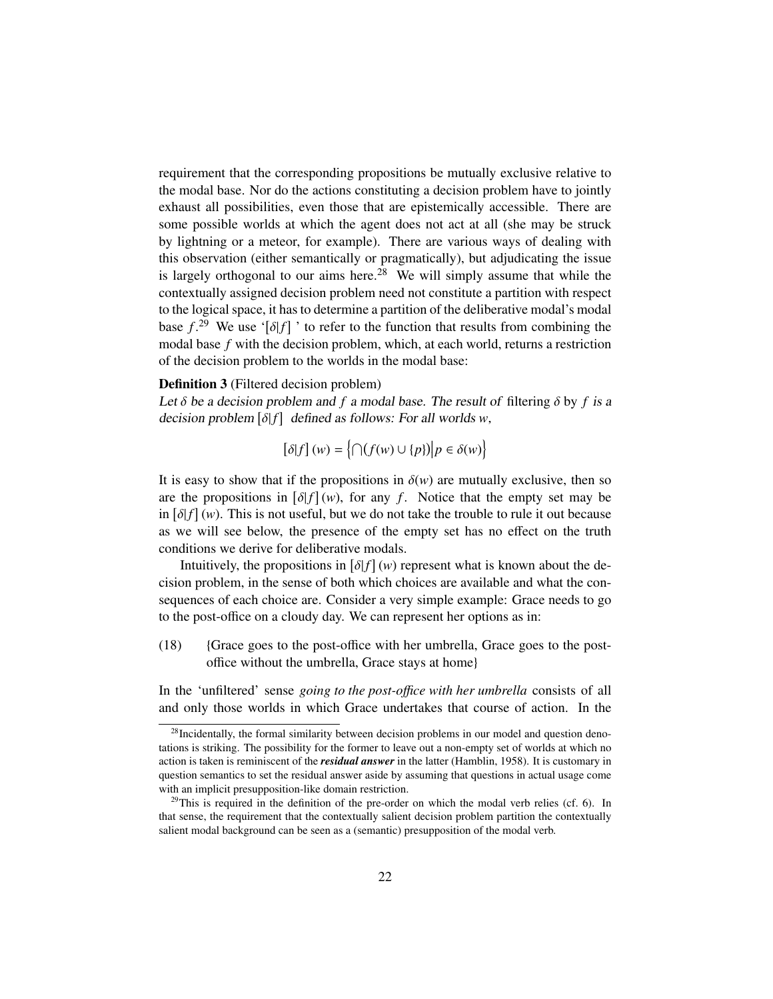requirement that the corresponding propositions be mutually exclusive relative to the modal base. Nor do the actions constituting a decision problem have to jointly exhaust all possibilities, even those that are epistemically accessible. There are some possible worlds at which the agent does not act at all (she may be struck by lightning or a meteor, for example). There are various ways of dealing with this observation (either semantically or pragmatically), but adjudicating the issue is largely orthogonal to our aims here.<sup>28</sup> We will simply assume that while the contextually assigned decision problem need not constitute a partition with respect to the logical space, it has to determine a partition of the deliberative modal's modal base  $f^{29}$ . We use ' $[\delta]$ ' to refer to the function that results from combining the model has f with the decision problem, which at each world, returns a restriction modal base *f* with the decision problem, which, at each world, returns a restriction of the decision problem to the worlds in the modal base:

#### Definition 3 (Filtered decision problem)

Let  $\delta$  be a decision problem and  $f$  a modal base. The result of filtering  $\delta$  by  $f$  is a decision problem  $[\delta|f]$  defined as follows: For all worlds *w*,

$$
[\delta[f](w) = \left\{ \bigcap (f(w) \cup \{p\}) \middle| p \in \delta(w) \right\}
$$

It is easy to show that if the propositions in  $\delta(w)$  are mutually exclusive, then so are the propositions in  $[\delta f](w)$ , for any *f*. Notice that the empty set may be<br>in  $[\delta f](w)$ . This is not useful, but we do not take the trouble to rule it out because in  $\left[\delta(f)(w)\right]$ . This is not useful, but we do not take the trouble to rule it out because as we will see below, the presence of the empty set has no effect on the truth conditions we derive for deliberative modals.

Intuitively, the propositions in  $\delta(f)(w)$  represent what is known about the de-<br>on problem, in the sense of both which choices are available and what the concision problem, in the sense of both which choices are available and what the consequences of each choice are. Consider a very simple example: Grace needs to go to the post-office on a cloudy day. We can represent her options as in:

(18) {Grace goes to the post-office with her umbrella, Grace goes to the postoffice without the umbrella, Grace stays at home}

In the 'unfiltered' sense *going to the post-o*ffi*ce with her umbrella* consists of all and only those worlds in which Grace undertakes that course of action. In the

<sup>&</sup>lt;sup>28</sup>Incidentally, the formal similarity between decision problems in our model and question denotations is striking. The possibility for the former to leave out a non-empty set of worlds at which no action is taken is reminiscent of the *residual answer* in the latter (Hamblin, 1958). It is customary in question semantics to set the residual answer aside by assuming that questions in actual usage come with an implicit presupposition-like domain restriction.

 $^{29}$ This is required in the definition of the pre-order on which the modal verb relies (cf. 6). In that sense, the requirement that the contextually salient decision problem partition the contextually salient modal background can be seen as a (semantic) presupposition of the modal verb.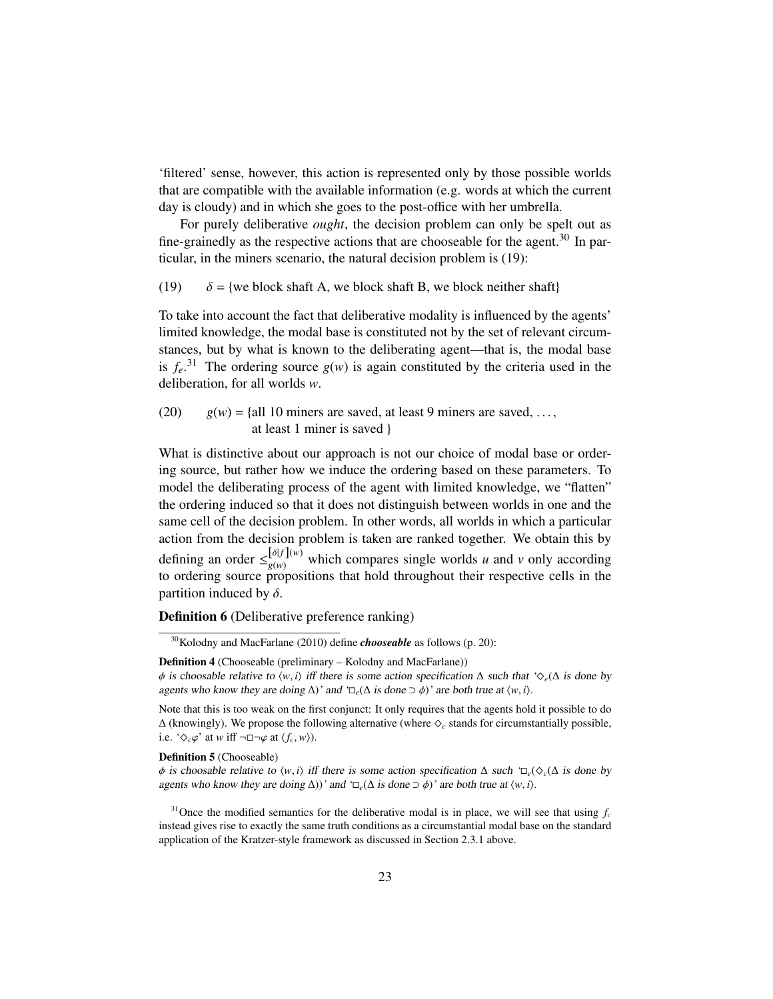'filtered' sense, however, this action is represented only by those possible worlds that are compatible with the available information (e.g. words at which the current day is cloudy) and in which she goes to the post-office with her umbrella.

For purely deliberative *ought*, the decision problem can only be spelt out as fine-grainedly as the respective actions that are chooseable for the agent.<sup>30</sup> In particular, in the miners scenario, the natural decision problem is (19):

(19)  $\delta = \{$  we block shaft A, we block shaft B, we block neither shaft $\}$ 

To take into account the fact that deliberative modality is influenced by the agents' limited knowledge, the modal base is constituted not by the set of relevant circumstances, but by what is known to the deliberating agent—that is, the modal base is  $f_e$ .<sup>31</sup> The ordering source  $g(w)$  is again constituted by the criteria used in the deliberation, for all worlds *w*.

(20)  $g(w) = \{all 10 \text{ miners are saved, at least 9 miners are saved, ...,}$ at least 1 miner is saved }

What is distinctive about our approach is not our choice of modal base or ordering source, but rather how we induce the ordering based on these parameters. To model the deliberating process of the agent with limited knowledge, we "flatten" the ordering induced so that it does not distinguish between worlds in one and the same cell of the decision problem. In other words, all worlds in which a particular action from the decision problem is taken are ranked together. We obtain this by defining an order  $\leq \frac{\delta[f]}{g(w)}$  which compares single worlds *u* and *v* only according to ordering source propositions that hold throughout their respective cells in the partition induced by  $\delta$ .

Definition 6 (Deliberative preference ranking)

Definition 4 (Chooseable (preliminary – Kolodny and MacFarlane))

Definition 5 (Chooseable)

<sup>31</sup>Once the modified semantics for the deliberative modal is in place, we will see that using  $f_c$ instead gives rise to exactly the same truth conditions as a circumstantial modal base on the standard application of the Kratzer-style framework as discussed in Section 2.3.1 above.

<sup>30</sup>Kolodny and MacFarlane (2010) define *chooseable* as follows (p. 20):

 $\phi$  is choosable relative to  $\langle w, i \rangle$  iff there is some action specification  $\Delta$  such that ' $\diamondsuit_e(\Delta$  is done by agents who know they are doing  $\Delta$ )' and ' $\Box_e(\Delta$  is done  $\supset \phi$ )' are both true at  $\langle w, i \rangle$ .

Note that this is too weak on the first conjunct: It only requires that the agents hold it possible to do ∆ (knowingly). We propose the following alternative (where ^*<sup>c</sup>* stands for circumstantially possible, i.e. ' $\Diamond_c\varphi$ ' at *w* iff  $\neg \Box \neg \varphi$  at  $\langle f_c, w \rangle$ ).

φ is choosable relative to  $\langle w, i \rangle$  iff there is some action specification  $\Delta$  such ' $\Box_e(\Diamond_c(\Delta$  is done by agents who know they are doing  $\Delta$ ))' and  $\Box_e(\Delta$  is done  $\Box \phi$ )' are both true at  $\langle w, i \rangle$ .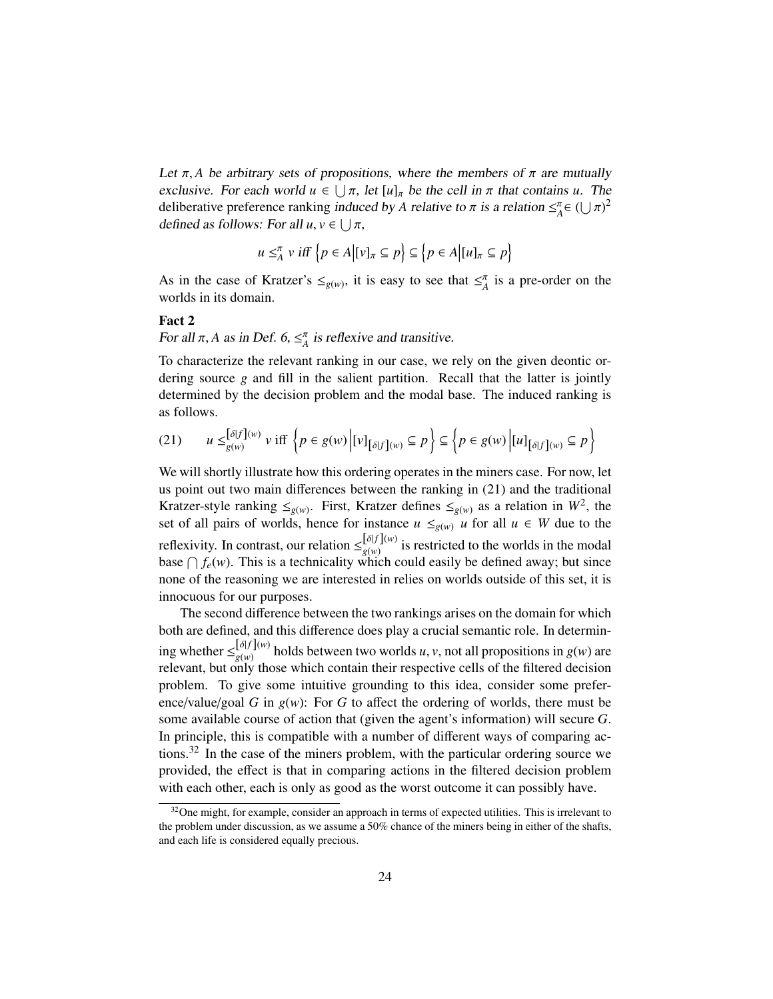Let  $\pi$ , *A* be arbitrary sets of propositions, where the members of  $\pi$  are mutually exclusive. For each world  $u \in \bigcup \pi$ , let  $[u]_{\pi}$  be the cell in  $\pi$  that contains *u*. The deliberative preference rapking induced by  $\Lambda$  relative to  $\pi$  is a relation  $\epsilon^{\pi} \in (1+\pi)^2$ deliberative preference ranking *induced by A relative to*  $\pi$  *is a relation*  $\leq_A^{\pi} \in (\bigcup \pi)^2$ <br>defined as follows: For all  $\mu$ ,  $\kappa \in \bigcup \pi$ . defined as follows: For all  $u, v \in \bigcup \pi$ ,

$$
u \leq_A^{\pi} v \text{ iff } \left\{ p \in A \middle| [v]_{\pi} \subseteq p \right\} \subseteq \left\{ p \in A \middle| [u]_{\pi} \subseteq p \right\}
$$

As in the case of Kratzer's  $\leq_{g(w)}$ , it is easy to see that  $\leq^{\pi}_A$  is a pre-order on the worlds in its domain.

## Fact 2

For all  $\pi$ , *A* as in Def. 6,  $\leq^{\pi}_A$  is reflexive and transitive.

To characterize the relevant ranking in our case, we rely on the given deontic ordering source *g* and fill in the salient partition. Recall that the latter is jointly determined by the decision problem and the modal base. The induced ranking is as follows.

$$
(21) \qquad u \leq_{g(w)}^{[\delta|f](w)} v \text{ iff } \left\{ p \in g(w) \left| [v]_{[\delta|f](w)} \subseteq p \right. \right\} \subseteq \left\{ p \in g(w) \left| [u]_{[\delta|f](w)} \subseteq p \right. \right\}
$$

We will shortly illustrate how this ordering operates in the miners case. For now, let us point out two main differences between the ranking in (21) and the traditional Kratzer-style ranking  $\leq_{g(w)}$ . First, Kratzer defines  $\leq_{g(w)}$  as a relation in  $W^2$ , the set of all pairs of worlds, hence for instance  $u \leq g(w)$  *u* for all  $u \in W$  due to the reflexivity. In contrast, our relation  $\leq_{g(w)}^{[\delta|f](w)}$  is restricted to the worlds in the modal base  $\bigcap f_e(w)$ . This is a technicality which could easily be defined away; but since none of the reasoning we are interested in relies on worlds outside of this set, it is innocuous for our purposes.

The second difference between the two rankings arises on the domain for which both are defined, and this difference does play a crucial semantic role. In determining whether  $\leq_{g(w)}^{[\delta|f](w)}$  holds between two worlds *u*, *v*, not all propositions in *g*(*w*) are relevant, but only those which contain their respective cells of the filtered decision relevant, but only those which contain their respective cells of the filtered decision problem. To give some intuitive grounding to this idea, consider some preference/value/goal *G* in  $g(w)$ : For *G* to affect the ordering of worlds, there must be some available course of action that (given the agent's information) will secure *G*. In principle, this is compatible with a number of different ways of comparing actions.<sup>32</sup> In the case of the miners problem, with the particular ordering source we provided, the effect is that in comparing actions in the filtered decision problem with each other, each is only as good as the worst outcome it can possibly have.

 $32$ One might, for example, consider an approach in terms of expected utilities. This is irrelevant to the problem under discussion, as we assume a 50% chance of the miners being in either of the shafts, and each life is considered equally precious.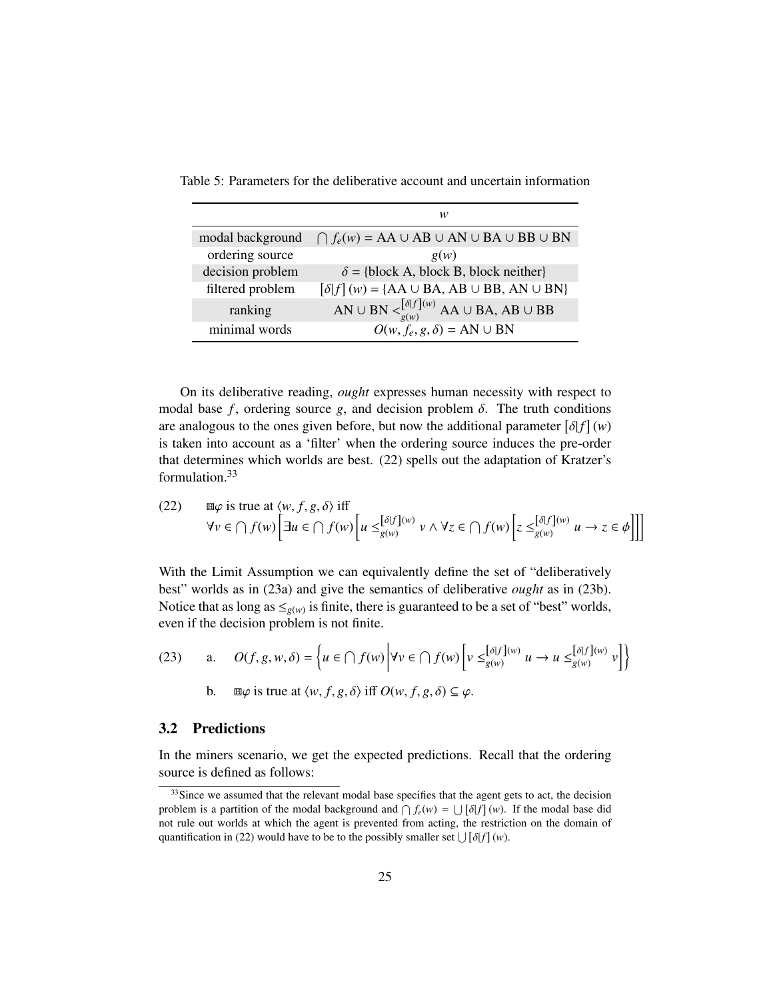|                  | w                                                                        |
|------------------|--------------------------------------------------------------------------|
| modal background | $\bigcap f_e(w) = AA \cup AB \cup AN \cup BA \cup BB \cup BN$            |
| ordering source  | g(w)                                                                     |
| decision problem | $\delta$ = {block A, block B, block neither}                             |
| filtered problem | $\delta[f](w) = \{AA \cup BA, AB \cup BB, AN \cup BN\}$                  |
| ranking          | AN $\cup$ BN $\lt^{\left[\delta f\right](w)}$ AA $\cup$ BA, AB $\cup$ BB |
| minimal words    | $O(w, f_e, g, \delta) = AN \cup BN$                                      |

Table 5: Parameters for the deliberative account and uncertain information

On its deliberative reading, *ought* expresses human necessity with respect to modal base  $f$ , ordering source  $g$ , and decision problem  $\delta$ . The truth conditions are analogous to the ones given before, but now the additional parameter  $\left[\delta|f\right](w)$ <br>is taken into account as a 'filter' when the ordering source induces the pre-order is taken into account as a 'filter' when the ordering source induces the pre-order that determines which worlds are best. (22) spells out the adaptation of Kratzer's formulation 33

(22) 
$$
\Box \varphi \text{ is true at } \langle w, f, g, \delta \rangle \text{ iff}
$$

$$
\forall v \in \bigcap f(w) \Big[ \exists u \in \bigcap f(w) \Big[ u \leq \big[\delta |f](w) \big] v \land \forall z \in \bigcap f(w) \Big[ z \leq \big[\delta |f](w) \big] u \to z \in \phi \Big] \Big]
$$

With the Limit Assumption we can equivalently define the set of "deliberatively best" worlds as in (23a) and give the semantics of deliberative *ought* as in (23b). Notice that as long as  $\leq_{g(w)}$  is finite, there is guaranteed to be a set of "best" worlds, even if the decision problem is not finite.

(23) a. 
$$
O(f, g, w, \delta) = \left\{ u \in \bigcap f(w) \middle| \forall v \in \bigcap f(w) \left[ v \leq_{g(w)}^{[\delta|f](w)} u \to u \leq_{g(w)}^{[\delta|f](w)} v \right] \right\}
$$

b. 
$$
\Box \varphi
$$
 is true at  $\langle w, f, g, \delta \rangle$  iff  $O(w, f, g, \delta) \subseteq \varphi$ .

# 3.2 Predictions

In the miners scenario, we get the expected predictions. Recall that the ordering source is defined as follows:

<sup>&</sup>lt;sup>33</sup>Since we assumed that the relevant modal base specifies that the agent gets to act, the decision problem is a partition of the modal background and  $\bigcap f_e(w) = \bigcup [\delta | f] (w)$ . If the modal base did not rule out worlds at which the agent is prevented from acting, the restriction on the domain of not rule out worlds at which the agent is prevented from acting, the restriction on the domain of quantification in (22) would have to be to the possibly smaller set  $\bigcup [\delta|f](w)$ .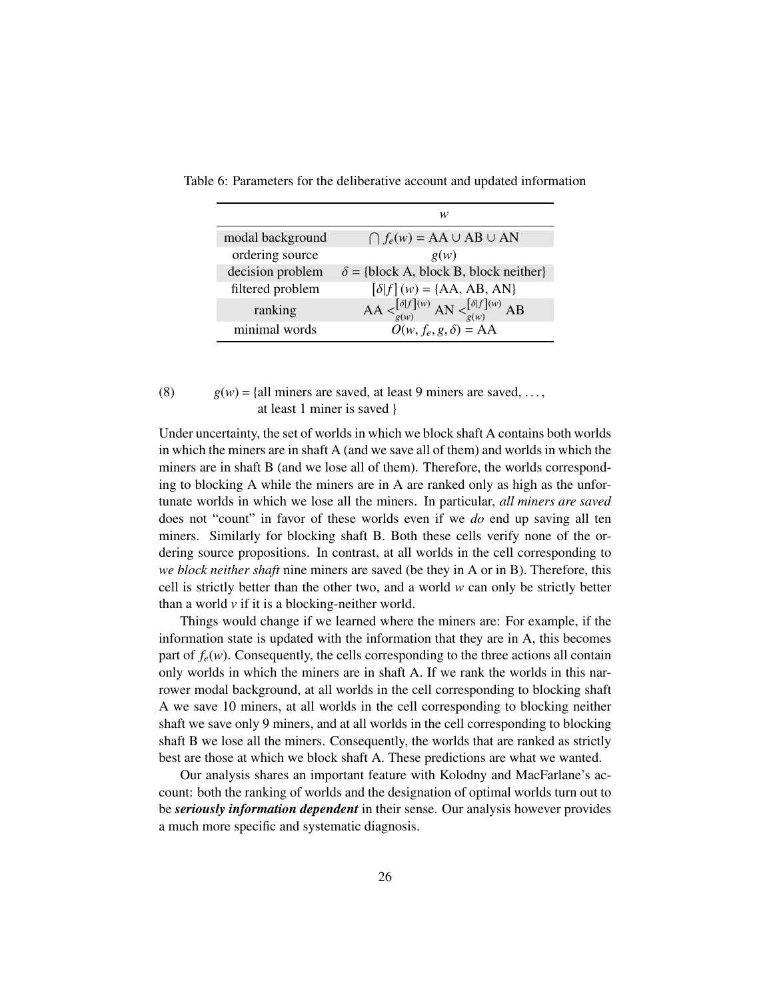|                  | w                                                                                                                                  |
|------------------|------------------------------------------------------------------------------------------------------------------------------------|
| modal background | $\bigcap f_e(w) = AA \cup AB \cup AN$                                                                                              |
| ordering source  | g(w)                                                                                                                               |
| decision problem | $\delta$ = {block A, block B, block neither}                                                                                       |
| filtered problem | $\delta[f](w) = \{AA, AB, AN\}$                                                                                                    |
| ranking          | AA $\langle \begin{array}{c} [\delta f](w) \\ g(w) \end{array}$ AN $\langle \begin{array}{c} [\delta f](w) \\ g(w) \end{array}$ AB |
| minimal words    | $O(w, f_e, g, \delta) = AA$                                                                                                        |

Table 6: Parameters for the deliberative account and updated information

# (8)  $g(w) = \{all \text{ miners are saved, at least 9 miners are saved, ...,} \}$ at least 1 miner is saved }

Under uncertainty, the set of worlds in which we block shaft A contains both worlds in which the miners are in shaft A (and we save all of them) and worlds in which the miners are in shaft B (and we lose all of them). Therefore, the worlds corresponding to blocking A while the miners are in A are ranked only as high as the unfortunate worlds in which we lose all the miners. In particular, *all miners are saved* does not "count" in favor of these worlds even if we *do* end up saving all ten miners. Similarly for blocking shaft B. Both these cells verify none of the ordering source propositions. In contrast, at all worlds in the cell corresponding to *we block neither shaft* nine miners are saved (be they in A or in B). Therefore, this cell is strictly better than the other two, and a world *w* can only be strictly better than a world  $\nu$  if it is a blocking-neither world.

Things would change if we learned where the miners are: For example, if the information state is updated with the information that they are in A, this becomes part of  $f_e(w)$ . Consequently, the cells corresponding to the three actions all contain only worlds in which the miners are in shaft A. If we rank the worlds in this narrower modal background, at all worlds in the cell corresponding to blocking shaft A we save 10 miners, at all worlds in the cell corresponding to blocking neither shaft we save only 9 miners, and at all worlds in the cell corresponding to blocking shaft B we lose all the miners. Consequently, the worlds that are ranked as strictly best are those at which we block shaft A. These predictions are what we wanted.

Our analysis shares an important feature with Kolodny and MacFarlane's account: both the ranking of worlds and the designation of optimal worlds turn out to be *seriously information dependent* in their sense. Our analysis however provides a much more specific and systematic diagnosis.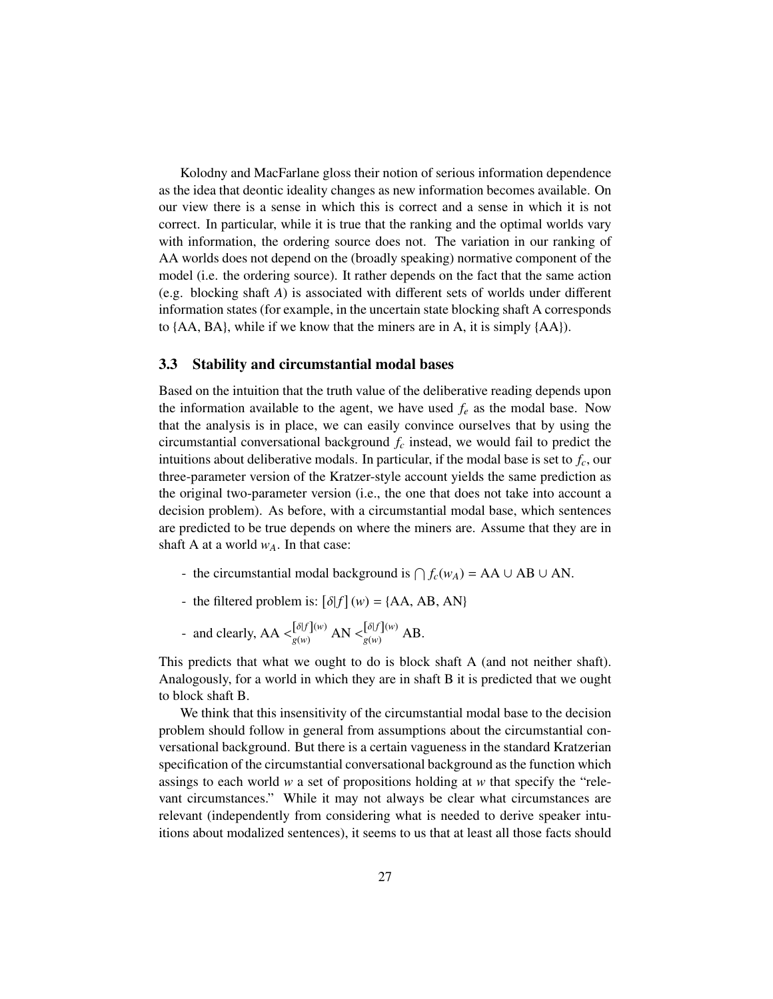Kolodny and MacFarlane gloss their notion of serious information dependence as the idea that deontic ideality changes as new information becomes available. On our view there is a sense in which this is correct and a sense in which it is not correct. In particular, while it is true that the ranking and the optimal worlds vary with information, the ordering source does not. The variation in our ranking of AA worlds does not depend on the (broadly speaking) normative component of the model (i.e. the ordering source). It rather depends on the fact that the same action (e.g. blocking shaft *A*) is associated with different sets of worlds under different information states (for example, in the uncertain state blocking shaft A corresponds to {AA, BA}, while if we know that the miners are in A, it is simply {AA}).

#### 3.3 Stability and circumstantial modal bases

Based on the intuition that the truth value of the deliberative reading depends upon the information available to the agent, we have used  $f_e$  as the modal base. Now that the analysis is in place, we can easily convince ourselves that by using the circumstantial conversational background *f<sup>c</sup>* instead, we would fail to predict the intuitions about deliberative modals. In particular, if the modal base is set to *fc*, our three-parameter version of the Kratzer-style account yields the same prediction as the original two-parameter version (i.e., the one that does not take into account a decision problem). As before, with a circumstantial modal base, which sentences are predicted to be true depends on where the miners are. Assume that they are in shaft A at a world  $w_A$ . In that case:

- the circumstantial modal background is  $\bigcap f_c(w_A) = AA \cup AB \cup AN$ .
- the filtered problem is:  $[\delta]f](w) = \{AA, AB, AN\}$
- and clearly,  $AA \leq \begin{cases} \delta[f](w) \\ g(w) \end{cases} AN \leq \begin{cases} \delta[f](w) \\ g(w) \end{cases} AB.$

This predicts that what we ought to do is block shaft A (and not neither shaft). Analogously, for a world in which they are in shaft B it is predicted that we ought to block shaft B.

We think that this insensitivity of the circumstantial modal base to the decision problem should follow in general from assumptions about the circumstantial conversational background. But there is a certain vagueness in the standard Kratzerian specification of the circumstantial conversational background as the function which assings to each world *w* a set of propositions holding at *w* that specify the "relevant circumstances." While it may not always be clear what circumstances are relevant (independently from considering what is needed to derive speaker intuitions about modalized sentences), it seems to us that at least all those facts should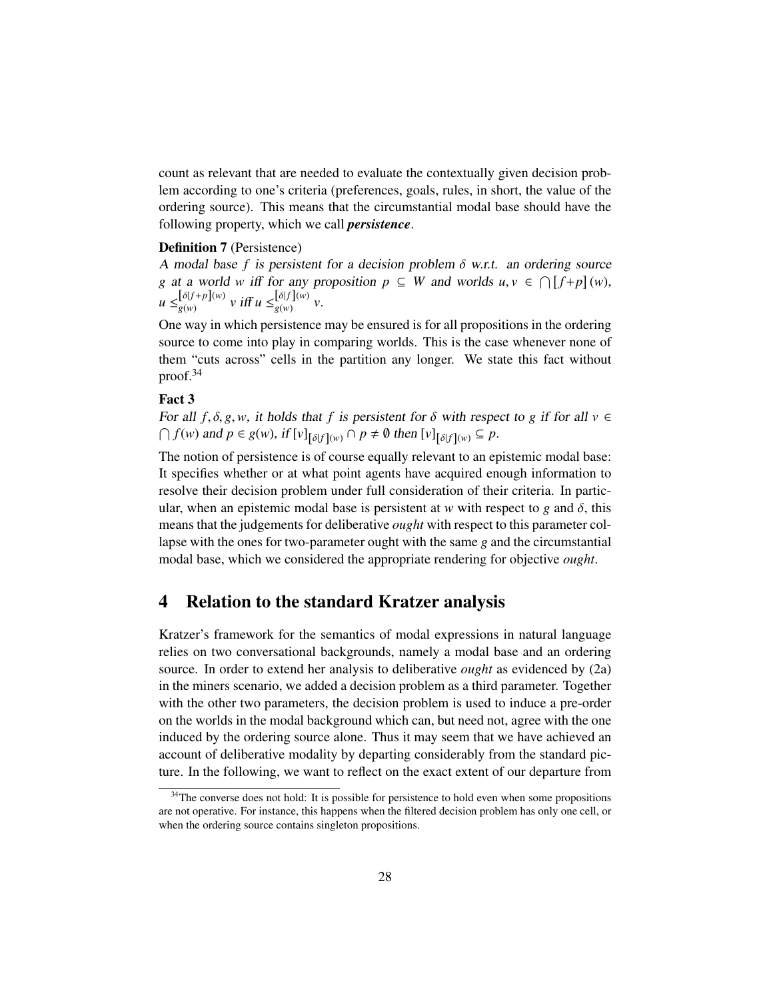count as relevant that are needed to evaluate the contextually given decision problem according to one's criteria (preferences, goals, rules, in short, the value of the ordering source). This means that the circumstantial modal base should have the following property, which we call *persistence*.

### Definition 7 (Persistence)

A modal base f is persistent for a decision problem  $\delta$  w.r.t. an ordering source *g* at a world *w* iff for any proposition  $p \subseteq W$  and worlds  $u, v \in \bigcap [f+p](w)$ ,  $\left[\delta|f+p||w\right]$ ,  $\left[\frac{f}{p}\right]$  $u \leq_{g(w)}^{[\delta|f+p](w)} v \text{ iff } u \leq_{g(w)}^{[\delta|f](w)} v.$ 

One way in which persistence may be ensured is for all propositions in the ordering source to come into play in comparing worlds. This is the case whenever none of them "cuts across" cells in the partition any longer. We state this fact without proof.<sup>34</sup>

### Fact 3

For all  $f$ ,  $\delta$ ,  $g$ ,  $w$ , it holds that  $f$  is persistent for  $\delta$  with respect to  $g$  if for all  $v \in$  $\bigcap$   $f(w)$  and  $p \in g(w)$ , if  $[v]_{\left[\delta\right]f\left](w)} \cap p \neq \emptyset$  then  $[v]_{\left[\delta\right]f\left](w)} \subseteq p$ .

The notion of persistence is of course equally relevant to an epistemic modal base: It specifies whether or at what point agents have acquired enough information to resolve their decision problem under full consideration of their criteria. In particular, when an epistemic modal base is persistent at *w* with respect to *g* and  $\delta$ , this means that the judgements for deliberative *ought* with respect to this parameter collapse with the ones for two-parameter ought with the same *g* and the circumstantial modal base, which we considered the appropriate rendering for objective *ought*.

# 4 Relation to the standard Kratzer analysis

Kratzer's framework for the semantics of modal expressions in natural language relies on two conversational backgrounds, namely a modal base and an ordering source. In order to extend her analysis to deliberative *ought* as evidenced by (2a) in the miners scenario, we added a decision problem as a third parameter. Together with the other two parameters, the decision problem is used to induce a pre-order on the worlds in the modal background which can, but need not, agree with the one induced by the ordering source alone. Thus it may seem that we have achieved an account of deliberative modality by departing considerably from the standard picture. In the following, we want to reflect on the exact extent of our departure from

<sup>&</sup>lt;sup>34</sup>The converse does not hold: It is possible for persistence to hold even when some propositions are not operative. For instance, this happens when the filtered decision problem has only one cell, or when the ordering source contains singleton propositions.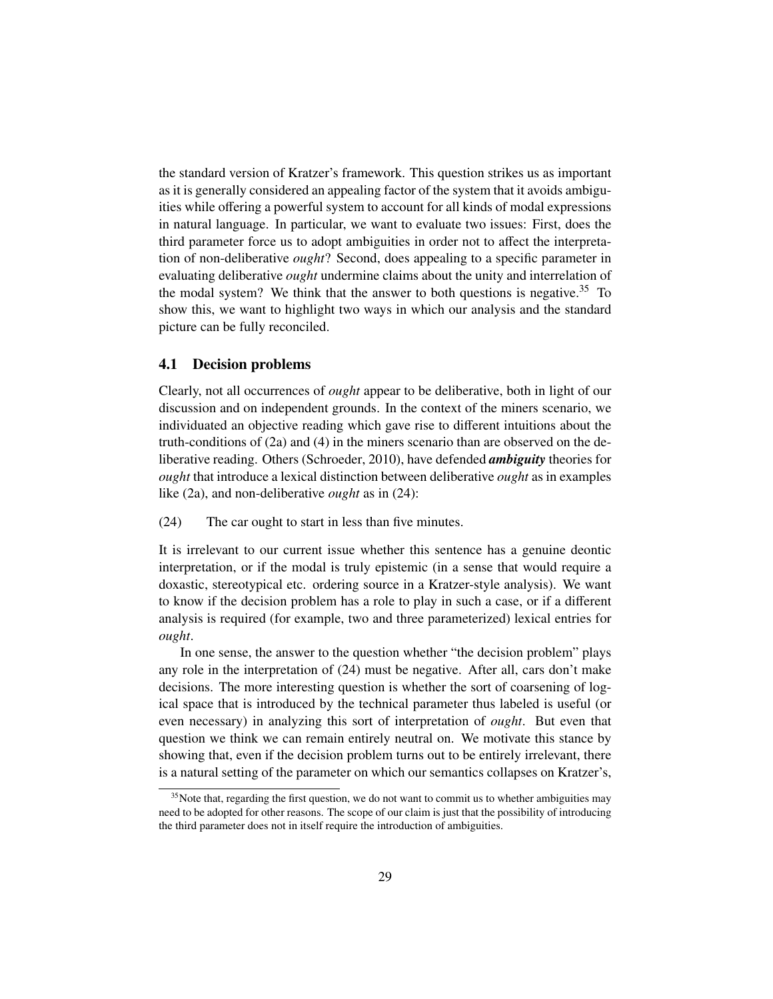the standard version of Kratzer's framework. This question strikes us as important as it is generally considered an appealing factor of the system that it avoids ambiguities while offering a powerful system to account for all kinds of modal expressions in natural language. In particular, we want to evaluate two issues: First, does the third parameter force us to adopt ambiguities in order not to affect the interpretation of non-deliberative *ought*? Second, does appealing to a specific parameter in evaluating deliberative *ought* undermine claims about the unity and interrelation of the modal system? We think that the answer to both questions is negative.<sup>35</sup> To show this, we want to highlight two ways in which our analysis and the standard picture can be fully reconciled.

### 4.1 Decision problems

Clearly, not all occurrences of *ought* appear to be deliberative, both in light of our discussion and on independent grounds. In the context of the miners scenario, we individuated an objective reading which gave rise to different intuitions about the truth-conditions of (2a) and (4) in the miners scenario than are observed on the deliberative reading. Others (Schroeder, 2010), have defended *ambiguity* theories for *ought* that introduce a lexical distinction between deliberative *ought* as in examples like (2a), and non-deliberative *ought* as in (24):

(24) The car ought to start in less than five minutes.

It is irrelevant to our current issue whether this sentence has a genuine deontic interpretation, or if the modal is truly epistemic (in a sense that would require a doxastic, stereotypical etc. ordering source in a Kratzer-style analysis). We want to know if the decision problem has a role to play in such a case, or if a different analysis is required (for example, two and three parameterized) lexical entries for *ought*.

In one sense, the answer to the question whether "the decision problem" plays any role in the interpretation of (24) must be negative. After all, cars don't make decisions. The more interesting question is whether the sort of coarsening of logical space that is introduced by the technical parameter thus labeled is useful (or even necessary) in analyzing this sort of interpretation of *ought*. But even that question we think we can remain entirely neutral on. We motivate this stance by showing that, even if the decision problem turns out to be entirely irrelevant, there is a natural setting of the parameter on which our semantics collapses on Kratzer's,

<sup>&</sup>lt;sup>35</sup>Note that, regarding the first question, we do not want to commit us to whether ambiguities may need to be adopted for other reasons. The scope of our claim is just that the possibility of introducing the third parameter does not in itself require the introduction of ambiguities.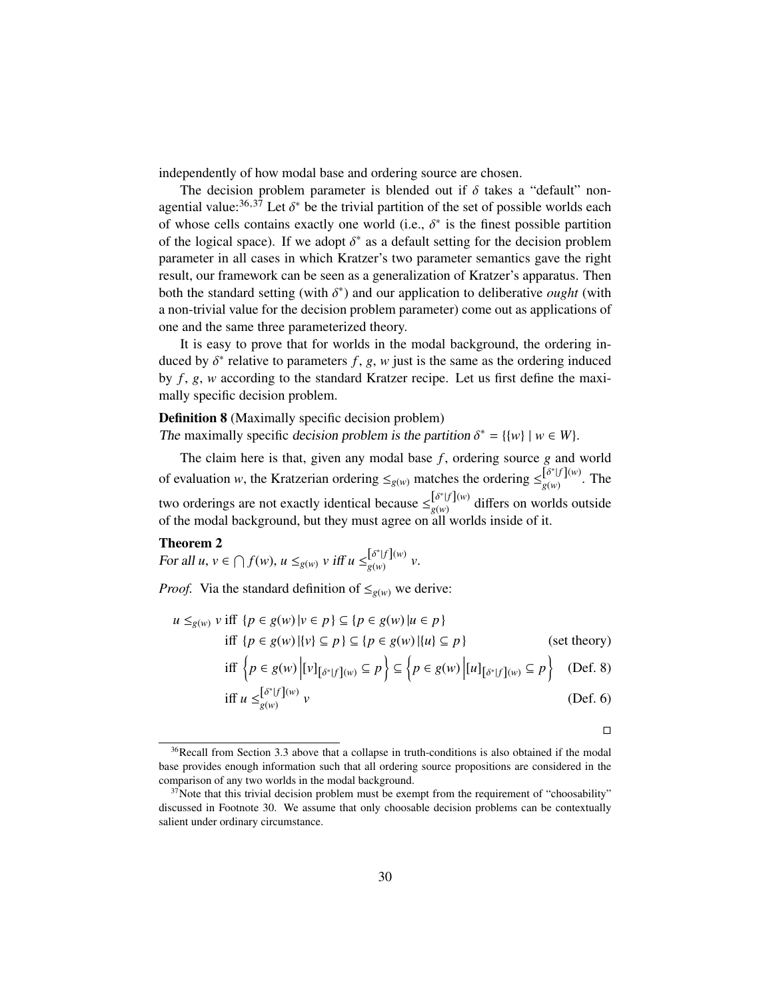independently of how modal base and ordering source are chosen.

The decision problem parameter is blended out if  $\delta$  takes a "default" nonagential value:<sup>36,37</sup> Let  $\delta^*$  be the trivial partition of the set of possible worlds each of whose calls contains exactly one world (i.e.  $\delta^*$  is the finest possible partition of whose cells contains exactly one world (i.e.,  $\delta^*$  is the finest possible partition<br>of the logical space). If we adopt  $\delta^*$  as a default setting for the decision problem of the logical space). If we adopt  $\delta^*$  as a default setting for the decision problem<br>parameter in all cases in which Kratzer's two parameter semantics gave the right parameter in all cases in which Kratzer's two parameter semantics gave the right result, our framework can be seen as a generalization of Kratzer's apparatus. Then both the standard setting (with  $\delta^*$ ) and our application to deliberative *ought* (with a non-trivial value for the decision problem parameter) come out as applications of a non-trivial value for the decision problem parameter) come out as applications of one and the same three parameterized theory.

It is easy to prove that for worlds in the modal background, the ordering induced by  $\delta^*$  relative to parameters *f*, *g*, *w* just is the same as the ordering induced<br>by *f* , *g*, *w* according to the standard Kratzer recipe. Let us first define the maxi by *f* , *g*, *w* according to the standard Kratzer recipe. Let us first define the maximally specific decision problem.

## Definition 8 (Maximally specific decision problem)

The maximally specific decision problem is the partition  $\delta^* = \{ \{w\} \mid w \in W \}$ .

The claim here is that, given any modal base *f*, ordering source *g* and world of evaluation *w*, the Kratzerian ordering  $\leq_{g(w)}$  matches the ordering  $\leq_{g(w)}^{[\delta^*|f](w)}$  $g(w)$   $\sum_{g(w)}$   $\sum_{g(w)}$   $\sum_{g(w)}$ two orderings are not exactly identical because  $\leq_{\sigma(\omega)}^{[\delta^*]f](w)}$  $g(w)$  differs on worlds outside of the modal background, but they must agree on all worlds inside of it.

### Theorem 2

For all  $u, v \in \bigcap f(w), u \leq_{g(w)} v \text{ iff } u \leq_{g(w)}^{[\delta^*]f](w)}$  $g(w)$   $v(w)$   $v(w)$ .

*Proof.* Via the standard definition of  $\leq g(w)$  we derive:

$$
u \le_{g(w)} v \text{ iff } \{p \in g(w) | v \in p\} \subseteq \{p \in g(w) | u \in p\}
$$
  
iff 
$$
\{p \in g(w) | \{v\} \subseteq p\} \subseteq \{p \in g(w) | \{u\} \subseteq p\}
$$
 (set theory)  
iff 
$$
\{p \in g(w) | [v]_{\{\delta^*|f\}(w)} \subseteq p\} \subseteq \{p \in g(w) | [u]_{\{\delta^*|f\}(w)} \subseteq p\}
$$
 (Def. 8)

$$
\begin{aligned}\n\text{iff } \left\{ p \in g(w) \left[ [v]_{\{\delta^*|f\}(w)} \subseteq p \right\} \subseteq \left\{ p \in g(w) \left[ [u]_{\{\delta^*|f\}(w)} \subseteq p \right\} \right] \\
\text{iff } u \leq_{g(w)}^{\{\delta^*|f\}(w)} v\n\end{aligned} \tag{Def. 8}
$$

$$
v \qquad \qquad (Def. 6)
$$

 $\Box$ 

<sup>&</sup>lt;sup>36</sup>Recall from Section 3.3 above that a collapse in truth-conditions is also obtained if the modal base provides enough information such that all ordering source propositions are considered in the comparison of any two worlds in the modal background.

 $37$ Note that this trivial decision problem must be exempt from the requirement of "choosability" discussed in Footnote 30. We assume that only choosable decision problems can be contextually salient under ordinary circumstance.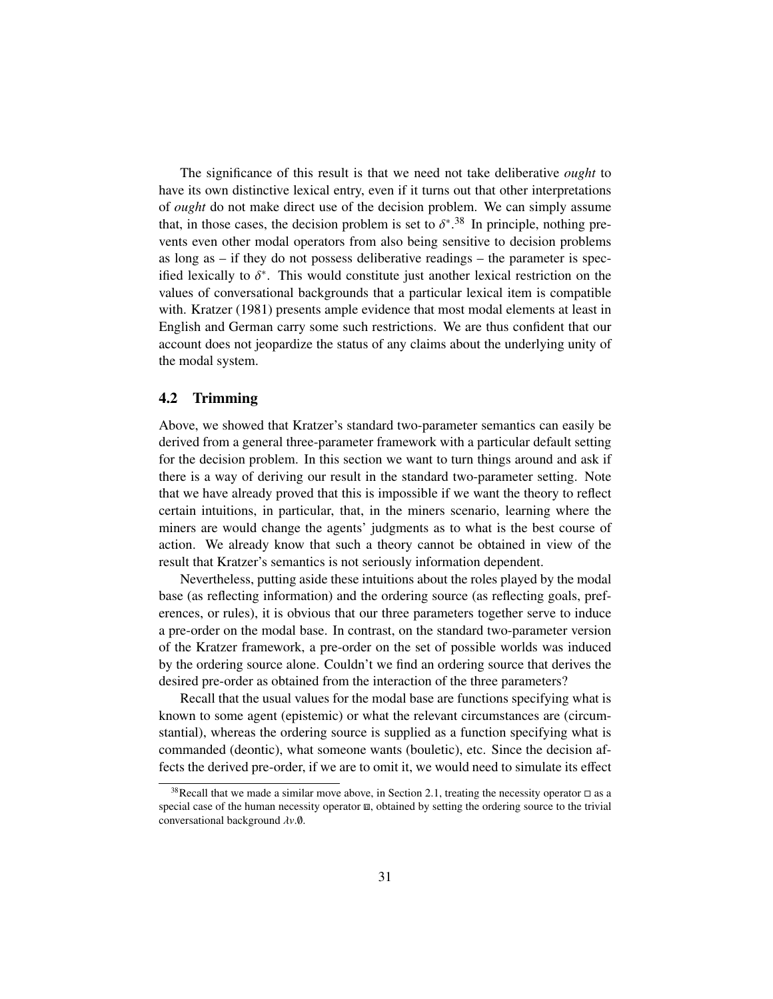The significance of this result is that we need not take deliberative *ought* to have its own distinctive lexical entry, even if it turns out that other interpretations of *ought* do not make direct use of the decision problem. We can simply assume that, in those cases, the decision problem is set to  $\delta^{*}.^{38}$  In principle, nothing prevents even other modal operators from also being sensitive to decision problems as long as  $-$  if they do not possess deliberative readings  $-$  the parameter is specified lexically to  $\delta^*$ . This would constitute just another lexical restriction on the values of conversational backgrounds that a particular lexical item is compatible. values of conversational backgrounds that a particular lexical item is compatible with. Kratzer (1981) presents ample evidence that most modal elements at least in English and German carry some such restrictions. We are thus confident that our account does not jeopardize the status of any claims about the underlying unity of the modal system.

### 4.2 Trimming

Above, we showed that Kratzer's standard two-parameter semantics can easily be derived from a general three-parameter framework with a particular default setting for the decision problem. In this section we want to turn things around and ask if there is a way of deriving our result in the standard two-parameter setting. Note that we have already proved that this is impossible if we want the theory to reflect certain intuitions, in particular, that, in the miners scenario, learning where the miners are would change the agents' judgments as to what is the best course of action. We already know that such a theory cannot be obtained in view of the result that Kratzer's semantics is not seriously information dependent.

Nevertheless, putting aside these intuitions about the roles played by the modal base (as reflecting information) and the ordering source (as reflecting goals, preferences, or rules), it is obvious that our three parameters together serve to induce a pre-order on the modal base. In contrast, on the standard two-parameter version of the Kratzer framework, a pre-order on the set of possible worlds was induced by the ordering source alone. Couldn't we find an ordering source that derives the desired pre-order as obtained from the interaction of the three parameters?

Recall that the usual values for the modal base are functions specifying what is known to some agent (epistemic) or what the relevant circumstances are (circumstantial), whereas the ordering source is supplied as a function specifying what is commanded (deontic), what someone wants (bouletic), etc. Since the decision affects the derived pre-order, if we are to omit it, we would need to simulate its effect

<sup>&</sup>lt;sup>38</sup>Recall that we made a similar move above, in Section 2.1, treating the necessity operator  $\Box$  as a special case of the human necessity operator  $\mathbf{m}$ , obtained by setting the ordering source to the trivial conversational background λ*v*.∅.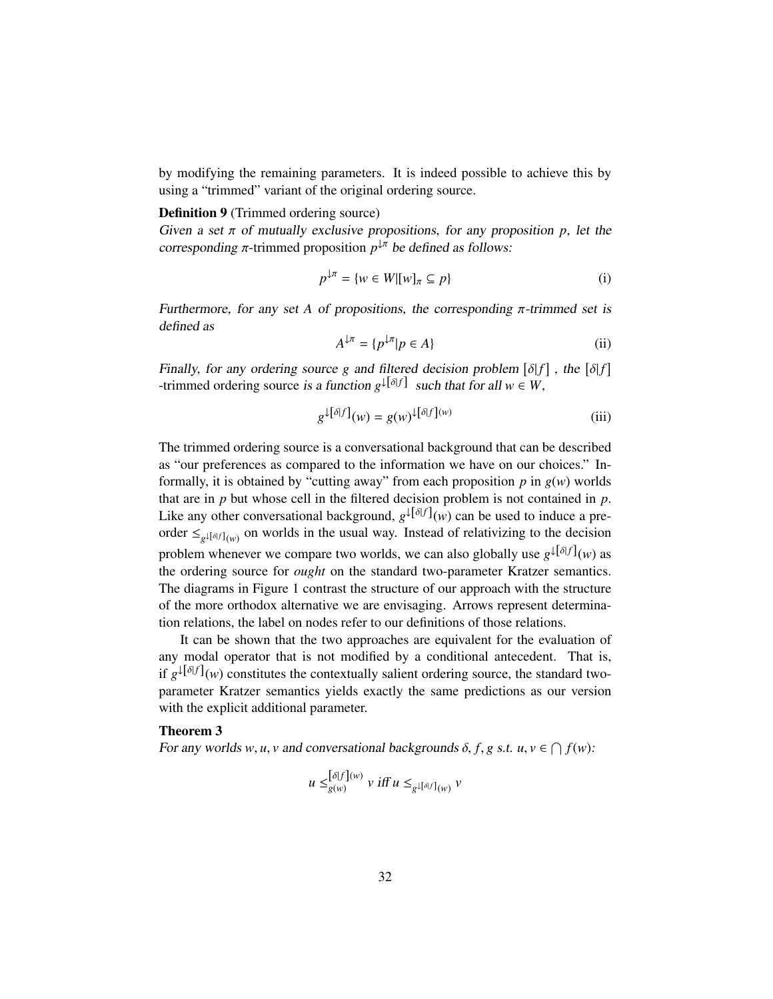by modifying the remaining parameters. It is indeed possible to achieve this by using a "trimmed" variant of the original ordering source.

#### Definition 9 (Trimmed ordering source)

Given a set  $\pi$  of mutually exclusive propositions, for any proposition  $p$ , let the corresponding  $\pi$ -trimmed proposition  $p^{\downarrow \pi}$  be defined as follows:

$$
p^{\downarrow \pi} = \{ w \in W | [w]_{\pi} \subseteq p \}
$$
 (i)

Furthermore, for any set A of propositions, the corresponding  $\pi$ -trimmed set is defined as

$$
A^{\downarrow \pi} = \{ p^{\downarrow \pi} | p \in A \}
$$
 (ii)

Finally, for any ordering source *g* and filtered decision problem  $[\delta|f]$ , the  $[\delta|f]$  trimmed ordering source is a function  $\alpha^{|\delta|f|}$  such that for all  $w \in W$ -trimmed ordering source is a function  $g^{\downarrow[\delta|f]}$  such that for all  $w \in W$ ,

$$
g^{\downarrow[\delta|f]}(w) = g(w)^{\downarrow[\delta|f](w)}
$$
(iii)

The trimmed ordering source is a conversational background that can be described as "our preferences as compared to the information we have on our choices." Informally, it is obtained by "cutting away" from each proposition  $p$  in  $g(w)$  worlds that are in *p* but whose cell in the filtered decision problem is not contained in *p*. Like any other conversational background,  $g^{\downarrow[\delta|f]}(w)$  can be used to induce a preorder  $\leq_{g^{\downarrow}[\delta|f]_{(w)}}$  on worlds in the usual way. Instead of relativizing to the decision problem whenever we compare two worlds, we can also globally use  $g^{\downarrow[\delta|f]}(w)$  as the ordering source for *ought* on the standard two-parameter Kratzer semantics. The diagrams in Figure 1 contrast the structure of our approach with the structure of the more orthodox alternative we are envisaging. Arrows represent determination relations, the label on nodes refer to our definitions of those relations.

It can be shown that the two approaches are equivalent for the evaluation of any modal operator that is not modified by a conditional antecedent. That is, if  $g^{\downarrow[\delta|f]}(w)$  constitutes the contextually salient ordering source, the standard twoparameter Kratzer semantics yields exactly the same predictions as our version with the explicit additional parameter.

# Theorem 3

For any worlds *w*, *u*, *v* and conversational backgrounds  $\delta$ ,  $f$ ,  $g$  s.t.  $u$ ,  $v \in \bigcap f(w)$ :

$$
u \leq_{g(w)}^{[\delta|f](w)} v \text{ iff } u \leq_{g^{\downarrow}[\delta|f](w)} v
$$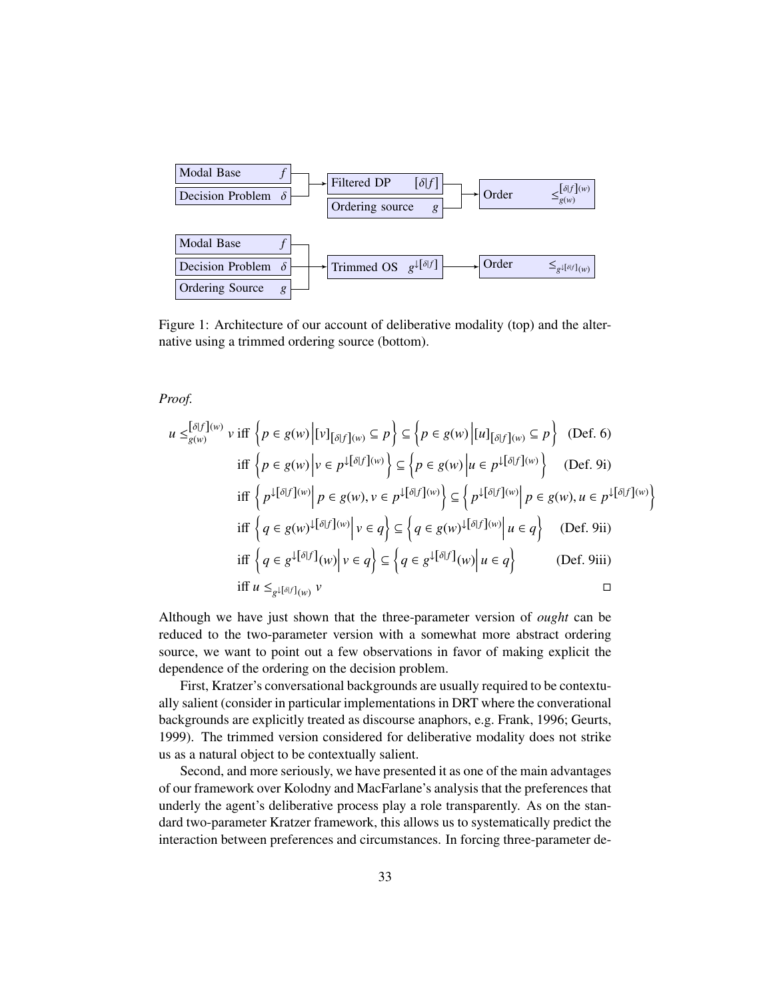

Figure 1: Architecture of our account of deliberative modality (top) and the alternative using a trimmed ordering source (bottom).

*Proof.*

$$
u \leq_{g(w)}^{\lceil \delta \rceil} \lceil w \rceil v \text{ iff } \left\{ p \in g(w) \middle| \lceil v \rceil_{\lceil \delta \rceil} \lceil w \rceil \leq p \right\} \subseteq \left\{ p \in g(w) \middle| \lceil u \rceil_{\lceil \delta \rceil} \lceil w \rceil \leq p \right\} \text{ (Def. 6)}
$$
\n
$$
\text{iff } \left\{ p \in g(w) \middle| v \in p^{\downarrow \lceil \delta \lceil f \rceil (w)} \right\} \subseteq \left\{ p \in g(w) \middle| u \in p^{\downarrow \lceil \delta \lceil f \rceil (w)} \right\} \text{ (Def. 9i)}
$$
\n
$$
\text{iff } \left\{ p^{\downarrow \lceil \delta \lceil f \rceil (w)} \middle| p \in g(w), v \in p^{\downarrow \lceil \delta \lceil f \rceil (w)} \right\} \subseteq \left\{ p^{\downarrow \lceil \delta \lceil f \rceil (w)} \middle| p \in g(w), u \in p^{\downarrow \lceil \delta \lceil f \rceil (w)} \right\}
$$
\n
$$
\text{iff } \left\{ q \in g(w)^{\downarrow \lceil \delta \lceil f \rceil (w)} \middle| v \in q \right\} \subseteq \left\{ q \in g(w)^{\downarrow \lceil \delta \lceil f \rceil (w)} \middle| u \in q \right\} \text{ (Def. 9ii)}
$$
\n
$$
\text{iff } \left\{ q \in g^{\downarrow \lceil \delta \lceil f \rceil (w)} \middle| v \in q \right\} \subseteq \left\{ q \in g^{\downarrow \lceil \delta \lceil f \rceil (w)} \middle| u \in q \right\} \text{ (Def. 9iii)}
$$
\n
$$
\text{iff } u \leq_{g^{\downarrow \lceil \delta \lceil f \rceil (w)} v} v
$$

Although we have just shown that the three-parameter version of *ought* can be reduced to the two-parameter version with a somewhat more abstract ordering source, we want to point out a few observations in favor of making explicit the dependence of the ordering on the decision problem.

First, Kratzer's conversational backgrounds are usually required to be contextually salient (consider in particular implementations in DRT where the converational backgrounds are explicitly treated as discourse anaphors, e.g. Frank, 1996; Geurts, 1999). The trimmed version considered for deliberative modality does not strike us as a natural object to be contextually salient.

Second, and more seriously, we have presented it as one of the main advantages of our framework over Kolodny and MacFarlane's analysis that the preferences that underly the agent's deliberative process play a role transparently. As on the standard two-parameter Kratzer framework, this allows us to systematically predict the interaction between preferences and circumstances. In forcing three-parameter de-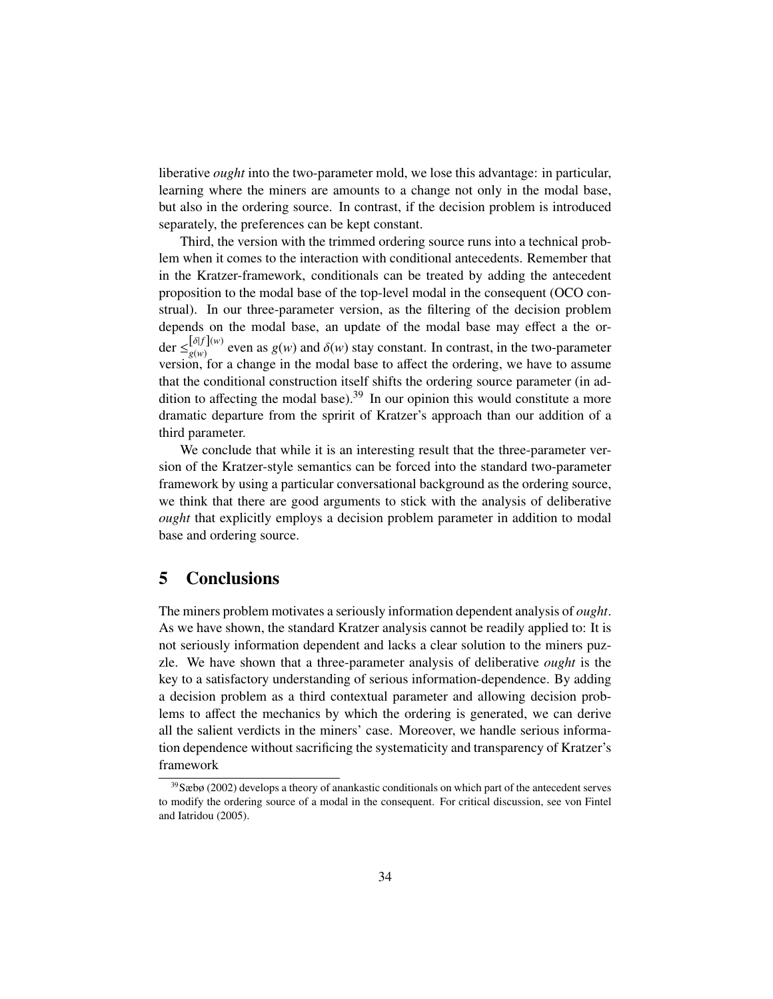liberative *ought* into the two-parameter mold, we lose this advantage: in particular, learning where the miners are amounts to a change not only in the modal base, but also in the ordering source. In contrast, if the decision problem is introduced separately, the preferences can be kept constant.

Third, the version with the trimmed ordering source runs into a technical problem when it comes to the interaction with conditional antecedents. Remember that in the Kratzer-framework, conditionals can be treated by adding the antecedent proposition to the modal base of the top-level modal in the consequent (OCO construal). In our three-parameter version, as the filtering of the decision problem depends on the modal base, an update of the modal base may effect a the order  $\leq_{g(w)}^{[\delta|f](w)}$  even as  $g(w)$  and  $\delta(w)$  stay constant. In contrast, in the two-parameter version, for a change in the modal base to affect the ordering, we have to assume that the conditional construction itself shifts the ordering source parameter (in addition to affecting the modal base).<sup>39</sup> In our opinion this would constitute a more dramatic departure from the spririt of Kratzer's approach than our addition of a third parameter.

We conclude that while it is an interesting result that the three-parameter version of the Kratzer-style semantics can be forced into the standard two-parameter framework by using a particular conversational background as the ordering source, we think that there are good arguments to stick with the analysis of deliberative *ought* that explicitly employs a decision problem parameter in addition to modal base and ordering source.

# 5 Conclusions

The miners problem motivates a seriously information dependent analysis of *ought*. As we have shown, the standard Kratzer analysis cannot be readily applied to: It is not seriously information dependent and lacks a clear solution to the miners puzzle. We have shown that a three-parameter analysis of deliberative *ought* is the key to a satisfactory understanding of serious information-dependence. By adding a decision problem as a third contextual parameter and allowing decision problems to affect the mechanics by which the ordering is generated, we can derive all the salient verdicts in the miners' case. Moreover, we handle serious information dependence without sacrificing the systematicity and transparency of Kratzer's framework

<sup>39</sup>Sæbø (2002) develops a theory of anankastic conditionals on which part of the antecedent serves to modify the ordering source of a modal in the consequent. For critical discussion, see von Fintel and Iatridou (2005).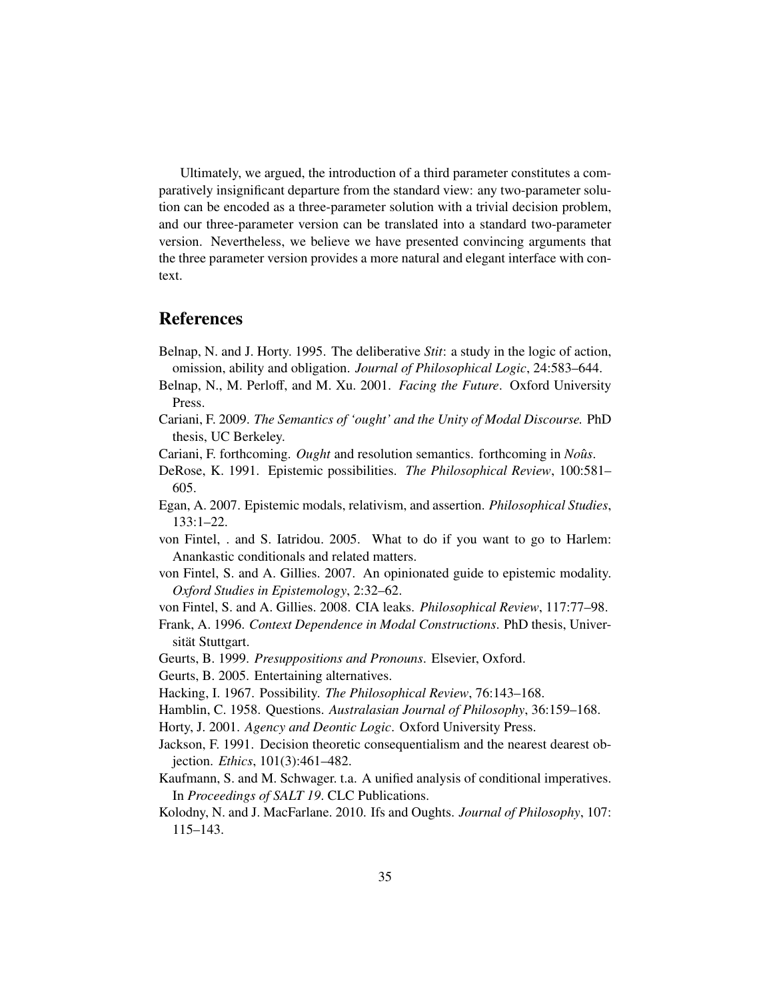Ultimately, we argued, the introduction of a third parameter constitutes a comparatively insignificant departure from the standard view: any two-parameter solution can be encoded as a three-parameter solution with a trivial decision problem, and our three-parameter version can be translated into a standard two-parameter version. Nevertheless, we believe we have presented convincing arguments that the three parameter version provides a more natural and elegant interface with context.

# References

- Belnap, N. and J. Horty. 1995. The deliberative *Stit*: a study in the logic of action, omission, ability and obligation. *Journal of Philosophical Logic*, 24:583–644.
- Belnap, N., M. Perloff, and M. Xu. 2001. *Facing the Future*. Oxford University Press.
- Cariani, F. 2009. *The Semantics of 'ought' and the Unity of Modal Discourse.* PhD thesis, UC Berkeley.
- Cariani, F. forthcoming. *Ought* and resolution semantics. forthcoming in *Noûs*.
- DeRose, K. 1991. Epistemic possibilities. *The Philosophical Review*, 100:581– 605.
- Egan, A. 2007. Epistemic modals, relativism, and assertion. *Philosophical Studies*, 133:1–22.
- von Fintel, . and S. Iatridou. 2005. What to do if you want to go to Harlem: Anankastic conditionals and related matters.
- von Fintel, S. and A. Gillies. 2007. An opinionated guide to epistemic modality. *Oxford Studies in Epistemology*, 2:32–62.
- von Fintel, S. and A. Gillies. 2008. CIA leaks. *Philosophical Review*, 117:77–98.
- Frank, A. 1996. *Context Dependence in Modal Constructions*. PhD thesis, Universität Stuttgart.
- Geurts, B. 1999. *Presuppositions and Pronouns*. Elsevier, Oxford.
- Geurts, B. 2005. Entertaining alternatives.
- Hacking, I. 1967. Possibility. *The Philosophical Review*, 76:143–168.
- Hamblin, C. 1958. Questions. *Australasian Journal of Philosophy*, 36:159–168.
- Horty, J. 2001. *Agency and Deontic Logic*. Oxford University Press.
- Jackson, F. 1991. Decision theoretic consequentialism and the nearest dearest objection. *Ethics*, 101(3):461–482.
- Kaufmann, S. and M. Schwager. t.a. A unified analysis of conditional imperatives. In *Proceedings of SALT 19*. CLC Publications.
- Kolodny, N. and J. MacFarlane. 2010. Ifs and Oughts. *Journal of Philosophy*, 107: 115–143.